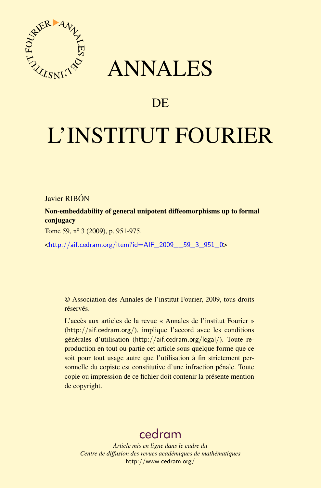

## ANNALES

## **DE**

# L'INSTITUT FOURIER

#### Javier RIBÓN

Non-embeddability of general unipotent diffeomorphisms up to formal conjugacy

Tome 59, n<sup>o</sup> 3 (2009), p. 951-975.

<[http://aif.cedram.org/item?id=AIF\\_2009\\_\\_59\\_3\\_951\\_0](http://aif.cedram.org/item?id=AIF_2009__59_3_951_0)>

© Association des Annales de l'institut Fourier, 2009, tous droits réservés.

L'accès aux articles de la revue « Annales de l'institut Fourier » (<http://aif.cedram.org/>), implique l'accord avec les conditions générales d'utilisation (<http://aif.cedram.org/legal/>). Toute reproduction en tout ou partie cet article sous quelque forme que ce soit pour tout usage autre que l'utilisation à fin strictement personnelle du copiste est constitutive d'une infraction pénale. Toute copie ou impression de ce fichier doit contenir la présente mention de copyright.

## [cedram](http://www.cedram.org/)

*Article mis en ligne dans le cadre du Centre de diffusion des revues académiques de mathématiques* <http://www.cedram.org/>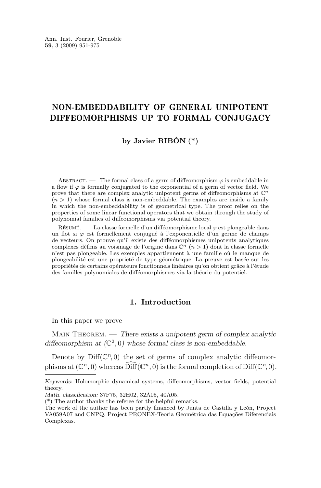#### NON-EMBEDDABILITY OF GENERAL UNIPOTENT DIFFEOMORPHISMS UP TO FORMAL CONJUGACY

#### **by Javier RIBÓN (\*)**

ABSTRACT. — The formal class of a germ of diffeomorphism  $\varphi$  is embeddable in a flow if  $\varphi$  is formally conjugated to the exponential of a germ of vector field. We prove that there are complex analytic unipotent germs of diffeomorphisms at  $\mathbb{C}^n$  $(n > 1)$  whose formal class is non-embeddable. The examples are inside a family in which the non-embeddability is of geometrical type. The proof relies on the properties of some linear functional operators that we obtain through the study of polynomial families of diffeomorphisms via potential theory.

RÉSUMÉ. — La classe formelle d'un difféomorphisme local  $\varphi$  est plongeable dans un flot si  $\varphi$  est formellement conjugué à l'exponentielle d'un germe de champs de vecteurs. On prouve qu'il existe des difféomorphismes unipotents analytiques complexes définis au voisinage de l'origine dans  $\mathbb{C}^n$   $(n > 1)$  dont la classe formelle n'est pas plongeable. Les exemples appartiennent à une famille où le manque de plongeabilité est une propriété de type géométrique. La preuve est basée sur les propriétés de certains opérateurs fonctionnels linéaires qu'on obtient grâce à l'étude des familles polynomiales de difféomorphismes via la théorie du potentiel.

#### **1. Introduction**

In this paper we prove

Main Theorem. — *There exists a unipotent germ of complex analytic* diffeomorphism at  $(\mathbb{C}^2, 0)$  whose formal class is non-embeddable.

Denote by  $\text{Diff}(\mathbb{C}^n,0)$  the set of germs of complex analytic diffeomorphisms at  $(\mathbb{C}^n, 0)$  whereas  $\widehat{\text{Diff}}(\mathbb{C}^n, 0)$  is the formal completion of  $\text{Diff}(\mathbb{C}^n, 0)$ .

*Keywords:* Holomorphic dynamical systems, diffeomorphisms, vector fields, potential theory.

*Math. classification:* 37F75, 32H02, 32A05, 40A05.

<sup>(\*)</sup> The author thanks the referee for the helpful remarks.

The work of the author has been partly financed by Junta de Castilla y León, Project VA059A07 and CNPQ, Project PRONEX-Teoria Geométrica das Equações Diferenciais Complexas.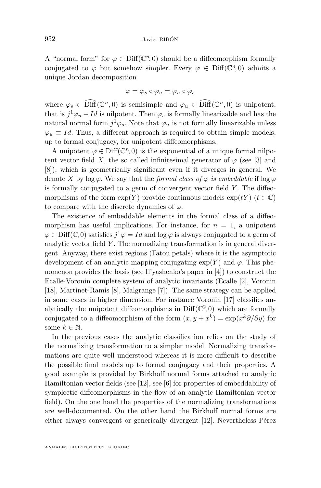A "normal form" for  $\varphi \in \text{Diff}(\mathbb{C}^n,0)$  should be a diffeomorphism formally conjugated to  $\varphi$  but somehow simpler. Every  $\varphi \in \text{Diff}(\mathbb{C}^n,0)$  admits a unique Jordan decomposition

$$
\varphi=\varphi_s\circ\varphi_u=\varphi_u\circ\varphi_s
$$

where  $\varphi_s \in \text{Diff}(\mathbb{C}^n, 0)$  is semisimple and  $\varphi_u \in \text{Diff}(\mathbb{C}^n, 0)$  is unipotent, that is  $j^1\varphi_u - Id$  is nilpotent. Then  $\varphi_s$  is formally linearizable and has the natural normal form  $j^1\varphi_s$ . Note that  $\varphi_u$  is not formally linearizable unless  $\varphi_u \equiv Id$ . Thus, a different approach is required to obtain simple models, up to formal conjugacy, for unipotent diffeomorphisms.

A unipotent  $\varphi \in \text{Diff}(\mathbb{C}^n, 0)$  is the exponential of a unique formal nilpotent vector field X, the so called infinitesimal generator of  $\varphi$  (see [\[3\]](#page-24-0) and [\[8\]](#page-24-0)), which is geometrically significant even if it diverges in general. We denote X by  $\log \varphi$ . We say that the *formal class of*  $\varphi$  *is embeddable* if  $\log \varphi$ is formally conjugated to a germ of convergent vector field  $Y$ . The diffeomorphisms of the form  $\exp(Y)$  provide continuous models  $\exp(tY)$   $(t \in \mathbb{C})$ to compare with the discrete dynamics of  $\varphi$ .

The existence of embeddable elements in the formal class of a diffeomorphism has useful implications. For instance, for  $n = 1$ , a unipotent  $\varphi \in \text{Diff}(\mathbb{C}, 0)$  satisfies  $j^1 \varphi = Id$  and  $\log \varphi$  is always conjugated to a germ of analytic vector field  $Y$ . The normalizing transformation is in general divergent. Anyway, there exist regions (Fatou petals) where it is the asymptotic development of an analytic mapping conjugating  $exp(Y)$  and  $\varphi$ . This phenomenon provides the basis (see Il'yashenko's paper in [\[4\]](#page-24-0)) to construct the Ecalle-Voronin complete system of analytic invariants (Ecalle [\[2\]](#page-24-0), Voronin [\[18\]](#page-25-0), Martinet-Ramis [\[8\]](#page-24-0), Malgrange [\[7\]](#page-24-0)). The same strategy can be applied in some cases in higher dimension. For instance Voronin [\[17\]](#page-25-0) classifies analytically the unipotent diffeomorphisms in  $\text{Diff}(\mathbb{C}^2,0)$  which are formally conjugated to a diffeomorphism of the form  $(x, y + x^k) = \exp(x^k \partial/\partial y)$  for some  $k \in \mathbb{N}$ .

In the previous cases the analytic classification relies on the study of the normalizing transformation to a simpler model. Normalizing transformations are quite well understood whereas it is more difficult to describe the possible final models up to formal conjugacy and their properties. A good example is provided by Birkhoff normal forms attached to analytic Hamiltonian vector fields (see [\[12\]](#page-25-0), see [\[6\]](#page-24-0) for properties of embeddability of symplectic diffeomorphisms in the flow of an analytic Hamiltonian vector field). On the one hand the properties of the normalizing transformations are well-documented. On the other hand the Birkhoff normal forms are either always convergent or generically divergent [\[12\]](#page-25-0). Nevertheless Pérez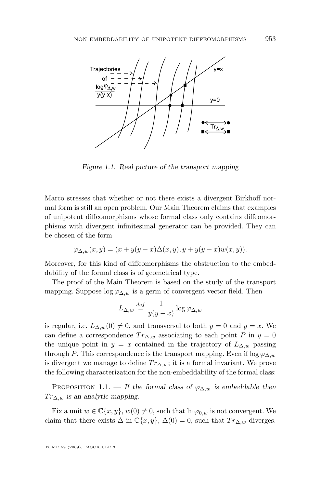

*Figure 1.1. Real picture of the transport mapping*

Marco stresses that whether or not there exists a divergent Birkhoff normal form is still an open problem. Our Main Theorem claims that examples of unipotent diffeomorphisms whose formal class only contains diffeomorphisms with divergent infinitesimal generator can be provided. They can be chosen of the form

$$
\varphi_{\Delta,w}(x,y)=(x+y(y-x)\Delta(x,y),y+y(y-x)w(x,y)).
$$

Moreover, for this kind of diffeomorphisms the obstruction to the embeddability of the formal class is of geometrical type.

The proof of the Main Theorem is based on the study of the transport mapping. Suppose  $\log \varphi_{\Delta,w}$  is a germ of convergent vector field. Then

$$
L_{\Delta,w} \stackrel{def}{=} \frac{1}{y(y-x)} \log \varphi_{\Delta,w}
$$

is regular, i.e.  $L_{\Delta,w}(0) \neq 0$ , and transversal to both  $y = 0$  and  $y = x$ . We can define a correspondence  $Tr_{\Delta,w}$  associating to each point P in  $y = 0$ the unique point in  $y = x$  contained in the trajectory of  $L_{\Delta,w}$  passing through P. This correspondence is the transport mapping. Even if  $\log \varphi_{\Delta,w}$ is divergent we manage to define  $Tr_{\Delta,w}$ ; it is a formal invariant. We prove the following characterization for the non-embeddability of the formal class:

PROPOSITION 1.1. — If the formal class of  $\varphi_{\Delta,w}$  is embeddable then  $Tr_{\Delta,w}$  *is an analytic mapping.* 

Fix a unit  $w \in \mathbb{C}\{x, y\}$ ,  $w(0) \neq 0$ , such that  $\ln \varphi_{0,w}$  is not convergent. We claim that there exists  $\Delta$  in  $\mathbb{C}\{x,y\}, \Delta(0) = 0$ , such that  $Tr_{\Delta,w}$  diverges.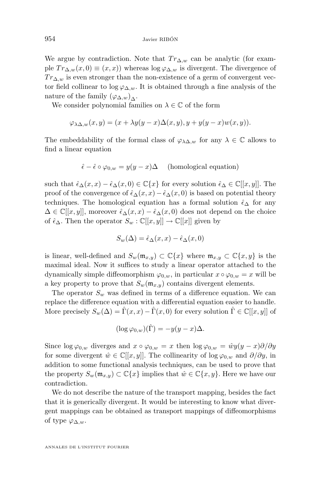We argue by contradiction. Note that  $Tr_{\Delta,w}$  can be analytic (for example  $Tr_{\Delta,w}(x,0) \equiv (x,x)$  whereas  $\log \varphi_{\Delta,w}$  is divergent. The divergence of  $Tr_{\Delta,w}$  is even stronger than the non-existence of a germ of convergent vector field collinear to  $\log \varphi_{\Delta,w}$ . It is obtained through a fine analysis of the nature of the family  $(\varphi_{\Delta,w})_{\Delta}$ .

We consider polynomial families on  $\lambda \in \mathbb{C}$  of the form

$$
\varphi_{\lambda\Delta,w}(x,y)=(x+\lambda y(y-x)\Delta(x,y),y+y(y-x)w(x,y)).
$$

The embeddability of the formal class of  $\varphi_{\lambda\Delta,w}$  for any  $\lambda \in \mathbb{C}$  allows to find a linear equation

$$
\hat{\epsilon} - \hat{\epsilon} \circ \varphi_{0,w} = y(y - x)\Delta \quad \text{(homological equation)}
$$

such that  $\hat{\epsilon}_{\Delta}(x, x) - \hat{\epsilon}_{\Delta}(x, 0) \in \mathbb{C}\{x\}$  for every solution  $\hat{\epsilon}_{\Delta} \in \mathbb{C}[[x, y]]$ . The proof of the convergence of  $\hat{\epsilon}_{\Delta}(x, x) - \hat{\epsilon}_{\Delta}(x, 0)$  is based on potential theory techniques. The homological equation has a formal solution  $\hat{\epsilon}_{\Delta}$  for any  $\Delta \in \mathbb{C}[[x, y]],$  moreover  $\hat{\epsilon}_{\Delta}(x, x) - \hat{\epsilon}_{\Delta}(x, 0)$  does not depend on the choice of  $\hat{\epsilon}_{\Delta}$ . Then the operator  $S_w : \mathbb{C}[[x,y]] \to \mathbb{C}[[x]]$  given by

$$
S_w(\Delta) = \hat{\epsilon}_{\Delta}(x, x) - \hat{\epsilon}_{\Delta}(x, 0)
$$

is linear, well-defined and  $S_w(\mathfrak{m}_{x,y}) \subset \mathbb{C}\{x\}$  where  $\mathfrak{m}_{x,y} \subset \mathbb{C}\{x,y\}$  is the maximal ideal. Now it suffices to study a linear operator attached to the dynamically simple diffeomorphism  $\varphi_{0,w}$ , in particular  $x \circ \varphi_{0,w} = x$  will be a key property to prove that  $S_w(\mathfrak{m}_{x,y})$  contains divergent elements.

The operator  $S_w$  was defined in terms of a difference equation. We can replace the difference equation with a differential equation easier to handle. More precisely  $S_w(\Delta) = \hat{\Gamma}(x, x) - \hat{\Gamma}(x, 0)$  for every solution  $\hat{\Gamma} \in \mathbb{C}[[x, y]]$  of

$$
(\log \varphi_{0,w})(\hat{\Gamma}) = -y(y-x)\Delta.
$$

Since  $\log \varphi_{0,w}$  diverges and  $x \circ \varphi_{0,w} = x$  then  $\log \varphi_{0,w} = \hat{w}y(y-x)\partial/\partial y$ for some divergent  $\hat{w} \in \mathbb{C}[[x, y]]$ . The collinearity of log  $\varphi_{0,w}$  and  $\partial/\partial y$ , in addition to some functional analysis techniques, can be used to prove that the property  $S_w(\mathfrak{m}_{x,y}) \subset \mathbb{C}\lbrace x \rbrace$  implies that  $\hat{w} \in \mathbb{C}\lbrace x,y \rbrace$ . Here we have our contradiction.

We do not describe the nature of the transport mapping, besides the fact that it is generically divergent. It would be interesting to know what divergent mappings can be obtained as transport mappings of diffeomorphisms of type  $\varphi_{\Delta,w}$ .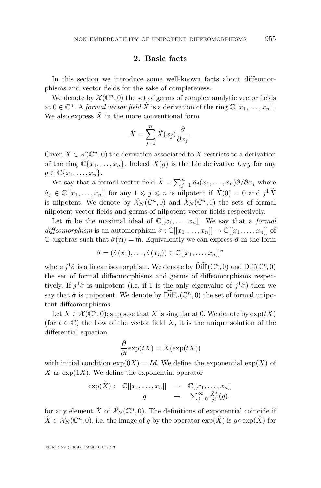#### **2. Basic facts**

<span id="page-5-0"></span>In this section we introduce some well-known facts about diffeomorphisms and vector fields for the sake of completeness.

We denote by  $\mathcal{X}(\mathbb{C}^n,0)$  the set of germs of complex analytic vector fields at  $0 \in \mathbb{C}^n$ . A *formal vector field*  $\hat{X}$  is a derivation of the ring  $\mathbb{C}[[x_1, \ldots, x_n]].$ We also express  $\hat{X}$  in the more conventional form

$$
\hat{X} = \sum_{j=1}^{n} \hat{X}(x_j) \frac{\partial}{\partial x_j}.
$$

Given  $X \in \mathcal{X}(\mathbb{C}^n, 0)$  the derivation associated to X restricts to a derivation of the ring  $\mathbb{C}\{x_1,\ldots,x_n\}$ . Indeed  $X(g)$  is the Lie derivative  $L_X g$  for any  $g \in \mathbb{C} \{x_1, \ldots, x_n\}.$ 

We say that a formal vector field  $\hat{X} = \sum_{j=1}^{n} \hat{a}_j(x_1, \ldots, x_n) \partial/\partial x_j$  where  $\hat{a}_j \in \mathbb{C}[[x_1,\ldots,x_n]]$  for any  $1 \leqslant j \leqslant n$  is nilpotent if  $\hat{X}(0) = 0$  and  $j^1\hat{X}$ is nilpotent. We denote by  $\hat{X}_N(\mathbb{C}^n,0)$  and  $X_N(\mathbb{C}^n,0)$  the sets of formal nilpotent vector fields and germs of nilpotent vector fields respectively.

Let  $\hat{\mathfrak{m}}$  be the maximal ideal of  $\mathbb{C}[[x_1,\ldots,x_n]]$ . We say that a *formal diffeomorphism* is an automorphism  $\hat{\sigma} : \mathbb{C}[[x_1, \ldots, x_n]] \to \mathbb{C}[[x_1, \ldots, x_n]]$  of C-algebras such that  $\hat{\sigma}(\hat{\mathfrak{m}}) = \hat{\mathfrak{m}}$ . Equivalently we can express  $\hat{\sigma}$  in the form

$$
\hat{\sigma} = (\hat{\sigma}(x_1), \dots, \hat{\sigma}(x_n)) \in \mathbb{C}[[x_1, \dots, x_n]]^n
$$

where  $j^1\hat{\sigma}$  is a linear isomorphism. We denote by  $\widehat{\text{Diff}}(\mathbb{C}^n,0)$  and  $\text{Diff}(\mathbb{C}^n,0)$ the set of formal diffeomorphisms and germs of diffeomorphisms respectively. If  $j^1\hat{\sigma}$  is unipotent (i.e. if 1 is the only eigenvalue of  $j^1\hat{\sigma}$ ) then we say that  $\hat{\sigma}$  is unipotent. We denote by  $\widehat{\text{Diff}}_u(\mathbb{C}^n,0)$  the set of formal unipotent diffeomorphisms.

Let  $X \in \mathcal{X}(\mathbb{C}^n, 0)$ ; suppose that X is singular at 0. We denote by  $\exp(tX)$ (for  $t \in \mathbb{C}$ ) the flow of the vector field X, it is the unique solution of the differential equation

$$
\frac{\partial}{\partial t}\exp(tX)=X(\exp(tX))
$$

with initial condition  $exp(0X) = Id$ . We define the exponential  $exp(X)$  of X as  $\exp(1X)$ . We define the exponential operator

$$
\exp(\hat{X}) : \mathbb{C}[[x_1,\ldots,x_n]] \rightarrow \mathbb{C}[[x_1,\ldots,x_n]]
$$
  

$$
g \rightarrow \sum_{j=0}^{\infty} \frac{\hat{X}^j}{j!}(g).
$$

for any element  $\hat{X}$  of  $\hat{\mathcal{X}}_N(\mathbb{C}^n,0)$ . The definitions of exponential coincide if  $\hat{X} \in \mathcal{X}_N(\mathbb{C}^n,0)$ , i.e. the image of g by the operator  $\exp(\hat{X})$  is  $g \circ \exp(\hat{X})$  for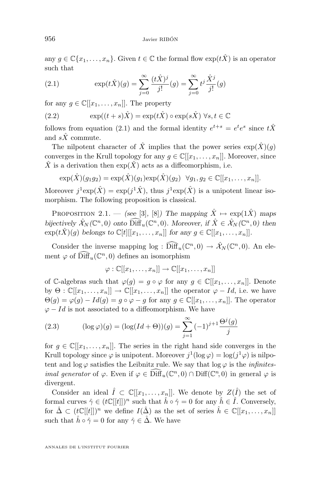<span id="page-6-0"></span>any  $g \in \mathbb{C}\{x_1,\ldots,x_n\}$ . Given  $t \in \mathbb{C}$  the formal flow  $\exp(t\hat{X})$  is an operator such that

(2.1) 
$$
\exp(t\hat{X})(g) = \sum_{j=0}^{\infty} \frac{(t\hat{X})^j}{j!}(g) = \sum_{j=0}^{\infty} t^j \frac{\hat{X}^j}{j!}(g)
$$

for any  $g \in \mathbb{C}[[x_1,\ldots,x_n]]$ . The property

(2.2) 
$$
\exp((t+s)\hat{X}) = \exp(t\hat{X}) \circ \exp(s\hat{X}) \ \forall s, t \in \mathbb{C}
$$

follows from equation (2.1) and the formal identity  $e^{t+s} = e^t e^s$  since  $t\hat{X}$ and  $s\hat{X}$  commute.

The nilpotent character of  $\hat{X}$  implies that the power series  $\exp(\hat{X})(q)$ converges in the Krull topology for any  $g \in \mathbb{C}[[x_1, \ldots, x_n]]$ . Moreover, since  $\hat{X}$  is a derivation then  $\exp(\hat{X})$  acts as a diffeomorphism, i.e.

$$
\exp(\hat{X})(g_1g_2) = \exp(\hat{X})(g_1)\exp(\hat{X})(g_2) \quad \forall g_1, g_2 \in \mathbb{C}[[x_1,\ldots,x_n]].
$$

Moreover  $j^1 \exp(\hat{X}) = \exp(j^1 \hat{X})$ , thus  $j^1 \exp(\hat{X})$  is a unipotent linear isomorphism. The following proposition is classical.

PROPOSITION 2.1. — *(see* [\[3\]](#page-24-0), [\[8\]](#page-24-0)*)* The mapping  $\hat{X} \mapsto \exp(1\hat{X})$  maps *bijectively*  $\hat{\mathcal{X}}_N(\mathbb{C}^n,0)$  onto  $\widehat{\text{Diff}}_u(\mathbb{C}^n,0)$ . Moreover, if  $\hat{X} \in \hat{\mathcal{X}}_N(\mathbb{C}^n,0)$  then  $\exp(t\hat{X})(g)$  *belongs to*  $\mathbb{C}[t][[x_1,\ldots,x_n]]$  *for any*  $g \in \mathbb{C}[[x_1,\ldots,x_n]]$ *.* 

Consider the inverse mapping  $log : \widehat{\text{Diff}}_u(\mathbb{C}^n,0) \to \hat{\mathcal{X}}_N(\mathbb{C}^n,0)$ . An element  $\varphi$  of  $\widehat{\text{Diff}}_u(\mathbb{C}^n,0)$  defines an isomorphism

$$
\varphi : \mathbb{C}[[x_1,\ldots,x_n]] \to \mathbb{C}[[x_1,\ldots,x_n]]
$$

of C-algebras such that  $\varphi(g) = g \circ \varphi$  for any  $g \in \mathbb{C}[[x_1, \ldots, x_n]]$ . Denote by  $\Theta : \mathbb{C}[[x_1,\ldots,x_n]] \to \mathbb{C}[[x_1,\ldots,x_n]]$  the operator  $\varphi - Id$ , i.e. we have  $\Theta(g) = \varphi(g) - Id(g) = g \circ \varphi - g$  for any  $g \in \mathbb{C}[[x_1, \ldots, x_n]]$ . The operator  $\varphi - Id$  is not associated to a diffeomorphism. We have

(2.3) 
$$
(\log \varphi)(g) = (\log(Id + \Theta))(g) = \sum_{j=1}^{\infty} (-1)^{j+1} \frac{\Theta^j(g)}{j}
$$

for  $g \in \mathbb{C}[[x_1,\ldots,x_n]]$ . The series in the right hand side converges in the Krull topology since  $\varphi$  is unipotent. Moreover  $j^1(\log \varphi) = \log(j^1 \varphi)$  is nilpotent and  $\log \varphi$  satisfies the Leibnitz rule. We say that  $\log \varphi$  is the *infinitesimal generator* of  $\varphi$ . Even if  $\varphi \in \widehat{\text{Diff}}_u(\mathbb{C}^n,0) \cap \text{Diff}(\mathbb{C}^n,0)$  in general  $\varphi$  is divergent.

Consider an ideal  $\hat{I} \subset \mathbb{C}[[x_1,\ldots,x_n]]$ . We denote by  $Z(\hat{I})$  the set of formal curves  $\hat{\gamma} \in (t\mathbb{C}[[t]])^n$  such that  $\hat{h} \circ \hat{\gamma} = 0$  for any  $\hat{h} \in \hat{I}$ . Conversely, for  $\hat{\Delta} \subset (t\mathbb{C}[[t]])^n$  we define  $I(\hat{\Delta})$  as the set of series  $\hat{h} \in \mathbb{C}[[x_1,\ldots,x_n]]$ such that  $h \circ \hat{\gamma} = 0$  for any  $\hat{\gamma} \in \Delta$ . We have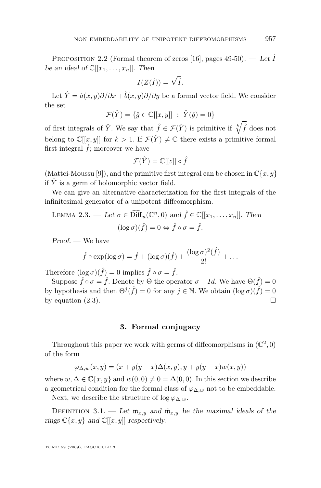<span id="page-7-0"></span>PROPOSITION 2.2 (Formal theorem of zeros [\[16\]](#page-25-0), pages  $49-50$ ). — Let  $\hat{I}$ *be an ideal of*  $\mathbb{C}[[x_1, \ldots, x_n]]$ *. Then* 

$$
I(Z(\hat{I})) = \sqrt{\hat{I}}.
$$

Let  $\hat{Y} = \hat{a}(x, y)\partial/\partial x + \hat{b}(x, y)\partial/\partial y$  be a formal vector field. We consider the set

$$
\mathcal{F}(\hat{Y}) = \{\hat{g} \in \mathbb{C}[[x, y]] \; : \; \hat{Y}(\hat{g}) = 0\}
$$

of first integrals of  $\hat{Y}$ . We say that  $\hat{f} \in \mathcal{F}(\hat{Y})$  is primitive if  $\sqrt[k]{\hat{f}}$  does not belong to  $\mathbb{C}[[x,y]]$  for  $k > 1$ . If  $\mathcal{F}(\hat{Y}) \neq \mathbb{C}$  there exists a primitive formal first integral  $\hat{f}$ ; moreover we have

$$
\mathcal{F}(\hat{Y})=\mathbb{C}[[z]]\circ \hat{f}
$$

(Mattei-Moussu [\[9\]](#page-24-0)), and the primitive first integral can be chosen in  $\mathbb{C}\{x, y\}$ if  $\hat{Y}$  is a germ of holomorphic vector field.

We can give an alternative characterization for the first integrals of the infinitesimal generator of a unipotent diffeomorphism.

LEMMA 2.3. — Let 
$$
\sigma \in \widehat{\text{Diff}}_u(\mathbb{C}^n, 0)
$$
 and  $\hat{f} \in \mathbb{C}[[x_1, \dots, x_n]]$ . Then  
\n
$$
(\log \sigma)(\hat{f}) = 0 \Leftrightarrow \hat{f} \circ \sigma = \hat{f}.
$$

*Proof. —* We have

$$
\hat{f} \circ \exp(\log \sigma) = \hat{f} + (\log \sigma)(\hat{f}) + \frac{(\log \sigma)^2(\hat{f})}{2!} + \dots
$$

Therefore  $(\log \sigma)(\hat{f}) = 0$  implies  $\hat{f} \circ \sigma = \hat{f}$ .

Suppose  $\hat{f} \circ \sigma = \hat{f}$ . Denote by  $\Theta$  the operator  $\sigma - Id$ . We have  $\Theta(\hat{f}) = 0$ by hypothesis and then  $\Theta^{j}(\hat{f}) = 0$  for any  $j \in \mathbb{N}$ . We obtain  $(\log \sigma)(\hat{f}) = 0$ by equation [\(2.3\)](#page-6-0).

#### **3. Formal conjugacy**

Throughout this paper we work with germs of diffeomorphisms in  $(\mathbb{C}^2, 0)$ of the form

$$
\varphi_{\Delta,w}(x,y) = (x + y(y - x)\Delta(x,y), y + y(y - x)w(x,y))
$$

where  $w, \Delta \in \mathbb{C}\{x, y\}$  and  $w(0, 0) \neq 0 = \Delta(0, 0)$ . In this section we describe a geometrical condition for the formal class of  $\varphi_{\Delta,w}$  not to be embeddable.

Next, we describe the structure of  $\log \varphi_{\Delta,w}$ .

DEFINITION 3.1. — Let  $\mathfrak{m}_{x,y}$  and  $\hat{\mathfrak{m}}_{x,y}$  be the maximal ideals of the *rings*  $\mathbb{C}\{x, y\}$  *and*  $\mathbb{C}[[x, y]]$  *respectively.*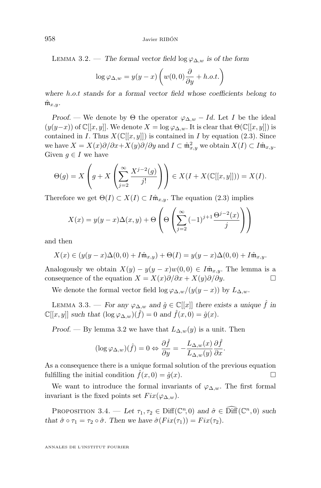<span id="page-8-0"></span>LEMMA 3.2. — The formal vector field  $\log \varphi_{\Delta,w}$  is of the form

$$
\log \varphi_{\Delta, w} = y(y - x) \left( w(0, 0) \frac{\partial}{\partial y} + h.o.t. \right)
$$

*where* h.o.t *stands for a formal vector field whose coefficients belong to*  $\hat{\mathfrak{m}}_{x,y}$ .

*Proof.* — We denote by  $\Theta$  the operator  $\varphi_{\Delta,w} - Id$ . Let I be the ideal  $(y(y-x))$  of  $\mathbb{C}[[x,y]]$ . We denote  $X = \log \varphi_{\Delta,w}$ . It is clear that  $\Theta(\mathbb{C}[[x,y]])$  is contained in I. Thus  $X(\mathbb{C}[[x,y]])$  is contained in I by equation [\(2.3\)](#page-6-0). Since we have  $X = X(x)\partial/\partial x + X(y)\partial/\partial y$  and  $I \subset \hat{\mathfrak{m}}_{x,y}^2$  we obtain  $X(I) \subset I\hat{\mathfrak{m}}_{x,y}$ . Given  $g \in I$  we have

$$
\Theta(g) = X\left(g + X\left(\sum_{j=2}^{\infty} \frac{X^{j-2}(g)}{j!}\right)\right) \in X(I + X(\mathbb{C}[[x,y]])) = X(I).
$$

Therefore we get  $\Theta(I) \subset X(I) \subset I\hat{\mathfrak{m}}_{x,y}$ . The equation [\(2.3\)](#page-6-0) implies

$$
X(x) = y(y - x)\Delta(x, y) + \Theta\left(\Theta\left(\sum_{j=2}^{\infty} (-1)^{j+1} \frac{\Theta^{j-2}(x)}{j}\right)\right)
$$

and then

$$
X(x) \in (y(y-x)\Delta(0,0) + I\hat{\mathfrak{m}}_{x,y}) + \Theta(I) = y(y-x)\Delta(0,0) + I\hat{\mathfrak{m}}_{x,y}.
$$

Analogously we obtain  $X(y) - y(y - x)w(0, 0) \in I\hat{\mathfrak{m}}_{x,y}$ . The lemma is a consequence of the equation  $X = X(x)\partial/\partial x + X(y)\partial/\partial y$ .

We denote the formal vector field  $\log \varphi_{\Delta,w}/(y(y-x))$  by  $L_{\Delta,w}$ .

LEMMA 3.3. — *For any*  $\varphi_{\Delta,w}$  *and*  $\hat{g} \in \mathbb{C}[[x]]$  *there exists a unique*  $\hat{f}$  *in*  $\mathbb{C}[[x,y]]$  *such that*  $(\log \varphi_{\Delta,w})(\hat{f}) = 0$  *and*  $\hat{f}(x,0) = \hat{g}(x)$ *.* 

*Proof.* — By lemma 3.2 we have that  $L_{\Delta,w}(y)$  is a unit. Then

$$
(\log \varphi_{\Delta,w})(\hat{f}) = 0 \Leftrightarrow \frac{\partial \hat{f}}{\partial y} = -\frac{L_{\Delta,w}(x)}{L_{\Delta,w}(y)} \frac{\partial \hat{f}}{\partial x}.
$$

As a consequence there is a unique formal solution of the previous equation fulfilling the initial condition  $\hat{f}(x, 0) = \hat{g}(x)$ .

We want to introduce the formal invariants of  $\varphi_{\Delta,w}$ . The first formal invariant is the fixed points set  $Fix(\varphi_{\Delta,w}).$ 

PROPOSITION 3.4. — *Let*  $\tau_1, \tau_2 \in \text{Diff}(\mathbb{C}^n, 0)$  *and*  $\hat{\sigma} \in \text{Diff}(\mathbb{C}^n, 0)$  *such that*  $\hat{\sigma} \circ \tau_1 = \tau_2 \circ \hat{\sigma}$ *. Then we have*  $\hat{\sigma}(Fix(\tau_1)) = Fix(\tau_2)$ *.*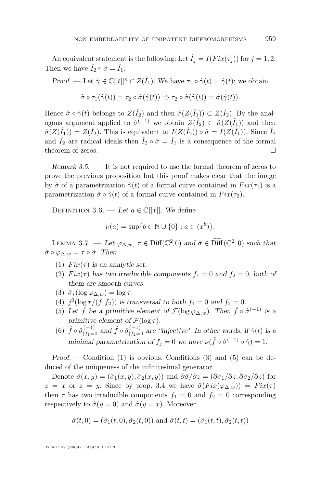<span id="page-9-0"></span>An equivalent statement is the following: Let  $\hat{I}_j = I(Fix(\tau_j))$  for  $j = 1, 2$ . Then we have  $\hat{I}_2 \circ \hat{\sigma} = \hat{I}_1$ .

*Proof.* — Let  $\hat{\gamma} \in \mathbb{C}[[t]]^n \cap Z(\hat{I}_1)$ . We have  $\tau_1 \circ \hat{\gamma}(t) = \hat{\gamma}(t)$ ; we obtain  $\hat{\sigma} \circ \tau_1(\hat{\gamma}(t)) = \tau_2 \circ \hat{\sigma}(\hat{\gamma}(t)) \Rightarrow \tau_2 \circ \hat{\sigma}(\hat{\gamma}(t)) = \hat{\sigma}(\hat{\gamma}(t)).$ 

Hence  $\hat{\sigma} \circ \hat{\gamma}(t)$  belongs to  $Z(\hat{I}_2)$  and then  $\hat{\sigma}(Z(\hat{I}_1)) \subset Z(\hat{I}_2)$ . By the analogous argument applied to  $\hat{\sigma}^{(-1)}$  we obtain  $Z(\hat{I}_2) \subset \hat{\sigma}(Z(\hat{I}_1))$  and then  $\hat{\sigma}(Z(\hat{I}_1)) = Z(\hat{I}_2)$ . This is equivalent to  $I(Z(\hat{I}_2)) \circ \hat{\sigma} = I(Z(\hat{I}_1))$ . Since  $\hat{I}_1$ and  $\hat{I}_2$  are radical ideals then  $\hat{I}_2 \circ \hat{\sigma} = \hat{I}_1$  is a consequence of the formal theorem of zeros.

*Remark 3.5. —* It is not required to use the formal theorem of zeros to prove the previous proposition but this proof makes clear that the image by  $\hat{\sigma}$  of a parametrization  $\hat{\gamma}(t)$  of a formal curve contained in  $Fix(\tau_1)$  is a parametrization  $\hat{\sigma} \circ \hat{\gamma}(t)$  of a formal curve contained in  $Fix(\tau_2)$ .

DEFINITION 3.6. — Let  $a \in \mathbb{C}[[x]]$ . We define

$$
\nu(a) = \sup\{b \in \mathbb{N} \cup \{0\} : a \in (x^b)\}.
$$

LEMMA 3.7. — *Let*  $\varphi_{\Delta,w}$ ,  $\tau \in \text{Diff}(\mathbb{C}^2, 0)$  and  $\hat{\sigma} \in \text{Diff}(\mathbb{C}^2, 0)$  such that  $\hat{\sigma} \circ \varphi_{\Delta,w} = \tau \circ \hat{\sigma}$ . Then

- (1)  $Fix(\tau)$  is an analytic set.
- (2)  $Fix(\tau)$  has two irreducible components  $f_1 = 0$  and  $f_2 = 0$ , both of *them are smooth curves.*
- (3)  $\hat{\sigma}_*(\log \varphi_{\Delta,w}) = \log \tau$ .
- (4)  $j^{0}(\log \tau/(f_1 f_2))$  *is transversal to both*  $f_1 = 0$  *and*  $f_2 = 0$ *.*
- (5) Let  $\hat{f}$  be a primitive element of  $\mathcal{F}(\log \varphi_{\Delta,w})$ . Then  $\hat{f} \circ \hat{\sigma}^{(-1)}$  is a *primitive element of*  $\mathcal{F}(\log \tau)$ *.*
- (6)  $\hat{f} \circ \hat{\sigma}_{|f_1=0}^{(-1)}$  and  $\hat{f} \circ \hat{\sigma}_{|f_2=0}^{(-1)}$  are "injective". In other words, if  $\hat{\gamma}(t)$  is a *minimal parametrization of*  $f_j = 0$  *we have*  $\nu(f \circ \hat{\sigma}^{(-1)} \circ \hat{\gamma}) = 1$ *.*

*Proof.* — Condition (1) is obvious. Conditions (3) and (5) can be deduced of the uniqueness of the infinitesimal generator.

Denote  $\hat{\sigma}(x, y) = (\hat{\sigma}_1(x, y), \hat{\sigma}_2(x, y))$  and  $\partial \hat{\sigma}/\partial z = (\partial \hat{\sigma}_1/\partial z, \partial \hat{\sigma}_2/\partial z)$  for  $z = x$  or  $z = y$ . Since by prop. [3.4](#page-8-0) we have  $\hat{\sigma}(Fix(\varphi_{\Delta,w})) = Fix(\tau)$ then  $\tau$  has two irreducible components  $f_1 = 0$  and  $f_2 = 0$  corresponding respectively to  $\hat{\sigma}(y=0)$  and  $\hat{\sigma}(y=x)$ . Moreover

$$
\hat{\sigma}(t,0) = (\hat{\sigma}_1(t,0), \hat{\sigma}_2(t,0))
$$
 and  $\hat{\sigma}(t,t) = (\hat{\sigma}_1(t,t), \hat{\sigma}_2(t,t))$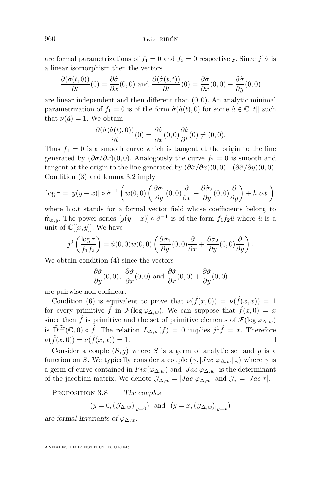are formal parametrizations of  $f_1 = 0$  and  $f_2 = 0$  respectively. Since  $j^1\hat{\sigma}$  is a linear isomorphism then the vectors

$$
\frac{\partial(\hat{\sigma}(t,0))}{\partial t}(0) = \frac{\partial\hat{\sigma}}{\partial x}(0,0) \text{ and } \frac{\partial(\hat{\sigma}(t,t))}{\partial t}(0) = \frac{\partial\hat{\sigma}}{\partial x}(0,0) + \frac{\partial\hat{\sigma}}{\partial y}(0,0)
$$

are linear independent and then different than  $(0, 0)$ . An analytic minimal parametrization of  $f_1 = 0$  is of the form  $\hat{\sigma}(\hat{a}(t), 0)$  for some  $\hat{a} \in \mathbb{C}[[t]]$  such that  $\nu(\hat{a}) = 1$ . We obtain

$$
\frac{\partial(\hat{\sigma}(\hat{a}(t),0))}{\partial t}(0) = \frac{\partial\hat{\sigma}}{\partial x}(0,0)\frac{\partial\hat{a}}{\partial t}(0) \neq (0,0).
$$

Thus  $f_1 = 0$  is a smooth curve which is tangent at the origin to the line generated by  $(\partial \hat{\sigma}/\partial x)(0,0)$ . Analogously the curve  $f_2 = 0$  is smooth and tangent at the origin to the line generated by  $(\partial \hat{\sigma}/\partial x)(0,0)+(\partial \hat{\sigma}/\partial y)(0,0)$ . Condition (3) and lemma [3.2](#page-8-0) imply

$$
\log \tau = [y(y-x)] \circ \hat{\sigma}^{-1} \left( w(0,0) \left( \frac{\partial \hat{\sigma}_1}{\partial y}(0,0) \frac{\partial}{\partial x} + \frac{\partial \hat{\sigma}_2}{\partial y}(0,0) \frac{\partial}{\partial y} \right) + h.o.t. \right)
$$

where h.o.t stands for a formal vector field whose coefficients belong to  $\hat{\mathfrak{m}}_{x,y}$ . The power series  $[y(y-x)] \circ \hat{\sigma}^{-1}$  is of the form  $f_1 f_2 \hat{u}$  where  $\hat{u}$  is a unit of  $\mathbb{C}[[x, y]]$ . We have

$$
j^{0}\left(\frac{\log \tau}{f_1 f_2}\right) = \hat{u}(0,0)w(0,0)\left(\frac{\partial \hat{\sigma}_1}{\partial y}(0,0)\frac{\partial}{\partial x} + \frac{\partial \hat{\sigma}_2}{\partial y}(0,0)\frac{\partial}{\partial y}\right).
$$

We obtain condition (4) since the vectors

$$
\frac{\partial \hat{\sigma}}{\partial y}(0,0), \frac{\partial \hat{\sigma}}{\partial x}(0,0) \text{ and } \frac{\partial \hat{\sigma}}{\partial x}(0,0) + \frac{\partial \hat{\sigma}}{\partial y}(0,0)
$$

are pairwise non-collinear.

Condition (6) is equivalent to prove that  $\nu(f(x,0)) = \nu(f(x,x)) = 1$ for every primitive  $\hat{f}$  in  $\mathcal{F}(\log \varphi_{\Delta,w})$ . We can suppose that  $\hat{f}(x,0) = x$ since then  $\hat{f}$  is primitive and the set of primitive elements of  $\mathcal{F}(\log \varphi_{\Delta,w})$ is  $\widehat{\text{Diff}}(\mathbb{C},0) \circ \hat{f}$ . The relation  $L_{\Delta,w}(\hat{f}) = 0$  implies  $j^1 \hat{f} = x$ . Therefore  $\nu(\hat{f}(x,0)) = \nu(\hat{f}(x,x)) = 1.$ 

Consider a couple  $(S, g)$  where S is a germ of analytic set and g is a function on S. We typically consider a couple  $(\gamma, |Jac \varphi_{\Delta,w}|_{|\gamma})$  where  $\gamma$  is a germ of curve contained in  $Fix(\varphi_{\Delta,w})$  and  $|Jac \varphi_{\Delta,w}|$  is the determinant of the jacobian matrix. We denote  $\mathcal{J}_{\Delta,w} = |Jac \varphi_{\Delta,w}|$  and  $\mathcal{J}_{\tau} = |Jac \tau|$ .

Proposition 3.8. — *The couples*

$$
(y = 0, (\mathcal{J}_{\Delta,w})_{|y=0})
$$
 and  $(y = x, (\mathcal{J}_{\Delta,w})_{|y=x})$ 

*are formal invariants of*  $\varphi_{\Delta,w}$ *.*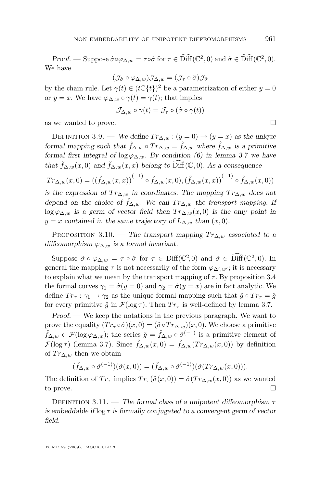<span id="page-11-0"></span>*Proof.* — Suppose  $\hat{\sigma} \circ \varphi_{\Delta,w} = \tau \circ \hat{\sigma}$  for  $\tau \in \widehat{\text{Diff}}(\mathbb{C}^2, 0)$  and  $\hat{\sigma} \in \widehat{\text{Diff}}(\mathbb{C}^2, 0)$ . We have

$$
(\mathcal{J}_{\hat{\sigma}}\circ\varphi_{\Delta,w})\mathcal{J}_{\Delta,w}=(\mathcal{J}_\tau\circ\hat{\sigma})\mathcal{J}_{\hat{\sigma}}
$$

by the chain rule. Let  $\gamma(t) \in (t\mathbb{C}\lbrace t \rbrace)^2$  be a parametrization of either  $y = 0$ or  $y = x$ . We have  $\varphi_{\Delta,w} \circ \gamma(t) = \gamma(t)$ ; that implies

$$
\mathcal{J}_{\Delta,w} \circ \gamma(t) = \mathcal{J}_{\tau} \circ (\hat{\sigma} \circ \gamma(t))
$$

as we wanted to prove.

DEFINITION 3.9. — *We define*  $Tr_{\Delta,w}$ :  $(y=0) \rightarrow (y=x)$  *as the unique formal mapping such that*  $\hat{f}_{\Delta,w} \circ Tr_{\Delta,w} = \hat{f}_{\Delta,w}$  *where*  $\hat{f}_{\Delta,w}$  *is a primitive formal first integral of*  $\log \varphi_{\Delta,w}$ *. By condition (6) in lemma [3.7](#page-9-0) we have that*  $\hat{f}_{\Delta,w}(x,0)$  *and*  $\hat{f}_{\Delta,w}(x,x)$  *belong to*  $\widehat{\text{Diff}}(\mathbb{C},0)$ *. As a consequence* 

$$
Tr_{\Delta,w}(x,0) = ((\hat{f}_{\Delta,w}(x,x))^{(-1)} \circ \hat{f}_{\Delta,w}(x,0),(\hat{f}_{\Delta,w}(x,x))^{(-1)} \circ \hat{f}_{\Delta,w}(x,0))
$$

*is the expression of*  $Tr_{\Delta,w}$  *in coordinates. The mapping*  $Tr_{\Delta,w}$  *does not depend on the choice of*  $\hat{f}_{\Delta,w}$ *. We call*  $Tr_{\Delta,w}$  *the transport mapping.* If log  $\varphi_{\Delta,w}$  *is a germ of vector field then*  $Tr_{\Delta,w}(x,0)$  *is the only point in*  $y = x$  *contained in the same trajectory of*  $L_{\Delta,w}$  *than*  $(x, 0)$ *.* 

PROPOSITION 3.10. — The transport mapping  $Tr_{\Delta,w}$  associated to a *diffeomorphism* ϕ∆,w *is a formal invariant.*

Suppose  $\hat{\sigma} \circ \varphi_{\Delta,w} = \tau \circ \hat{\sigma}$  for  $\tau \in \text{Diff}(\mathbb{C}^2, 0)$  and  $\hat{\sigma} \in \widehat{\text{Diff}}(\mathbb{C}^2, 0)$ . In general the mapping  $\tau$  is not necessarily of the form  $\varphi_{\Delta',w'}$ ; it is necessary to explain what we mean by the transport mapping of  $\tau$ . By proposition [3.4](#page-8-0) the formal curves  $\gamma_1 = \hat{\sigma}(y = 0)$  and  $\gamma_2 = \hat{\sigma}(y = x)$  are in fact analytic. We define  $Tr_{\tau} : \gamma_1 \to \gamma_2$  as the unique formal mapping such that  $\hat{g} \circ Tr_{\tau} = \hat{g}$ for every primitive  $\hat{g}$  in  $\mathcal{F}(\log \tau)$ . Then  $Tr_{\tau}$  is well-defined by lemma [3.7.](#page-9-0)

*Proof. —* We keep the notations in the previous paragraph. We want to prove the equality  $(T r_\tau \circ \hat{\sigma})(x, 0) = (\hat{\sigma} \circ T r_{\Delta, w})(x, 0)$ . We choose a primitive  $\hat{f}_{\Delta,w} \in \mathcal{F}(\log \varphi_{\Delta,w});$  the series  $\hat{g} = \hat{f}_{\Delta,w} \circ \hat{\sigma}^{(-1)}$  is a primitive element of  $\mathcal{F}(\log \tau)$  (lemma [3.7\)](#page-9-0). Since  $\hat{f}_{\Delta,w}(x,0) = \hat{f}_{\Delta,w}(Tr_{\Delta,w}(x,0))$  by definition of  $Tr_{\Delta,w}$  then we obtain

$$
(\widehat{f}_{\Delta,w}\circ\widehat{\sigma}^{(-1)}) (\widehat{\sigma}(x,0))=(\widehat{f}_{\Delta,w}\circ\widehat{\sigma}^{(-1)}) (\widehat{\sigma}(Tr_{\Delta,w}(x,0))).
$$

The definition of  $Tr_{\tau}$  implies  $Tr_{\tau}(\hat{\sigma}(x,0)) = \hat{\sigma}(Tr_{\Delta,w}(x,0))$  as we wanted to prove.  $\Box$ 

DEFINITION 3.11. — *The formal class of a unipotent diffeomorphism*  $\tau$ *is embeddable if* log τ *is formally conjugated to a convergent germ of vector field.*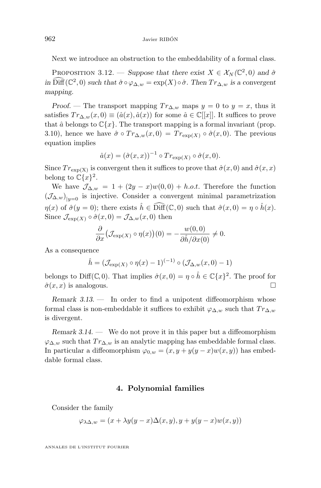<span id="page-12-0"></span>Next we introduce an obstruction to the embeddability of a formal class.

PROPOSITION 3.12. — *Suppose that there exist*  $X \in \mathcal{X}_N(\mathbb{C}^2, 0)$  and  $\hat{\sigma}$ *in*  $\widehat{\text{Diff}}(\mathbb{C}^2,0)$  *such that*  $\hat{\sigma} \circ \varphi_{\Delta,w} = \exp(X) \circ \hat{\sigma}$ *. Then*  $Tr_{\Delta,w}$  *is a convergent mapping.*

*Proof.* — The transport mapping  $Tr_{\Delta,w}$  maps  $y = 0$  to  $y = x$ , thus it satisfies  $Tr_{\Delta,w}(x,0) \equiv (\hat{a}(x), \hat{a}(x))$  for some  $\hat{a} \in \mathbb{C}[[x]]$ . It suffices to prove that  $\hat{a}$  belongs to  $\mathbb{C}\lbrace x \rbrace$ . The transport mapping is a formal invariant (prop. [3.10\)](#page-11-0), hence we have  $\hat{\sigma} \circ Tr_{\Delta,w}(x,0) = Tr_{\exp(X)} \circ \hat{\sigma}(x,0)$ . The previous equation implies

$$
\hat{a}(x) = (\hat{\sigma}(x,x))^{-1} \circ Tr_{\exp(X)} \circ \hat{\sigma}(x,0).
$$

Since  $Tr_{\exp(X)}$  is convergent then it suffices to prove that  $\hat{\sigma}(x, 0)$  and  $\hat{\sigma}(x, x)$ belong to  $\mathbb{C}\{x\}^2$ .

We have  $\mathcal{J}_{\Delta,w} = 1 + (2y - x)w(0,0) + h.o.t.$  Therefore the function  $(\mathcal{J}_{\Delta,w})_{|y=0}$  is injective. Consider a convergent minimal parametrization  $\eta(x)$  of  $\hat{\sigma}(y=0)$ ; there exists  $\hat{h} \in \widehat{\text{Diff}}(\mathbb{C},0)$  such that  $\hat{\sigma}(x,0) = \eta \circ \hat{h}(x)$ . Since  $\mathcal{J}_{\exp(X)} \circ \hat{\sigma}(x,0) = \mathcal{J}_{\Delta,w}(x,0)$  then

$$
\frac{\partial}{\partial x} \big( \mathcal{J}_{\exp(X)} \circ \eta(x) \big)(0) = -\frac{w(0,0)}{\partial \hat{h}/\partial x(0)} \neq 0.
$$

As a consequence

$$
\hat{h} = (\mathcal{J}_{\exp(X)} \circ \eta(x) - 1)^{(-1)} \circ (\mathcal{J}_{\Delta,w}(x,0) - 1)
$$

belongs to Diff(C, 0). That implies  $\hat{\sigma}(x,0) = \eta \circ \hat{h} \in \mathbb{C}\{x\}^2$ . The proof for  $\hat{\sigma}(x, x)$  is analogous.

*Remark 3.13. —* In order to find a unipotent diffeomorphism whose formal class is non-embeddable it suffices to exhibit  $\varphi_{\Delta,w}$  such that  $Tr_{\Delta,w}$ is divergent.

*Remark 3.14. —* We do not prove it in this paper but a diffeomorphism  $\varphi_{\Delta,w}$  such that  $Tr_{\Delta,w}$  is an analytic mapping has embeddable formal class. In particular a diffeomorphism  $\varphi_{0,w} = (x, y + y(y - x)w(x, y))$  has embeddable formal class.

#### **4. Polynomial families**

Consider the family

$$
\varphi_{\lambda\Delta,w} = (x + \lambda y(y - x)\Delta(x,y), y + y(y - x)w(x,y))
$$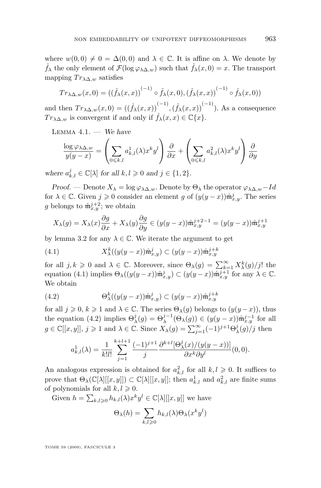<span id="page-13-0"></span>where  $w(0,0) \neq 0 = \Delta(0,0)$  and  $\lambda \in \mathbb{C}$ . It is affine on  $\lambda$ . We denote by  $\hat{f}_{\lambda}$  the only element of  $\mathcal{F}(\log \varphi_{\lambda \Delta,w})$  such that  $\hat{f}_{\lambda}(x,0) = x$ . The transport mapping  $Tr_{\lambda\Delta,w}$  satisfies

$$
Tr_{\lambda\Delta,w}(x,0) = ((\hat{f}_{\lambda}(x,x))^{(-1)} \circ \hat{f}_{\lambda}(x,0),(\hat{f}_{\lambda}(x,x))^{(-1)} \circ \hat{f}_{\lambda}(x,0))
$$

and then  $Tr_{\lambda\Delta,w}(x,0) = (\left(\hat{f}_{\lambda}(x,x)\right)^{(-1)},\left(\hat{f}_{\lambda}(x,x)\right)^{(-1)})$ . As a consequence  $Tr_{\lambda\Delta,w}$  is convergent if and only if  $\hat{f}_{\lambda}(x,x) \in \mathbb{C}\lbrace x \rbrace$ .

Lemma 4.1. — *We have*

$$
\frac{\log \varphi_{\lambda \Delta, w}}{y(y - x)} = \left( \sum_{0 \le k, l} a^1_{k,l}(\lambda) x^k y^l \right) \frac{\partial}{\partial x} + \left( \sum_{0 \le k, l} a^2_{k,l}(\lambda) x^k y^l \right) \frac{\partial}{\partial y}
$$

where  $a_{k,l}^j \in \mathbb{C}[\lambda]$  for all  $k, l \geqslant 0$  and  $j \in \{1, 2\}$ *.* 

*Proof.* — Denote  $X_{\lambda} = \log \varphi_{\lambda \Delta, w}$ . Denote by  $\Theta_{\lambda}$  the operator  $\varphi_{\lambda \Delta, w} - Id$ for  $\lambda \in \mathbb{C}$ . Given  $j \geqslant 0$  consider an element g of  $(y(y-x))\hat{\mathfrak{m}}_{x,y}^j$ . The series g belongs to  $\hat{\mathfrak{m}}_{x,y}^{j+2}$ ; we obtain

$$
X_{\lambda}(g) = X_{\lambda}(x)\frac{\partial g}{\partial x} + X_{\lambda}(y)\frac{\partial g}{\partial y} \in (y(y-x))\hat{\mathfrak{m}}_{x,y}^{j+2-1} = (y(y-x))\hat{\mathfrak{m}}_{x,y}^{j+1}
$$

by lemma [3.2](#page-8-0) for any  $\lambda \in \mathbb{C}$ . We iterate the argument to get

(4.1) 
$$
X_{\lambda}^{k}((y(y-x))\hat{\mathfrak{m}}_{x,y}^{j}) \subset (y(y-x))\hat{\mathfrak{m}}_{x,y}^{j+k}
$$

for all  $j, k \geq 0$  and  $\lambda \in \mathbb{C}$ . Moreover, since  $\Theta_{\lambda}(g) = \sum_{k=1}^{\infty} X_{\lambda}^{k}(g)/j!$  the equation (4.1) implies  $\Theta_{\lambda}((y(y-x))\hat{\mathfrak{m}}_{x,y}^j) \subset (y(y-x))\hat{\mathfrak{m}}_{x,y}^{j+1}$  for any  $\lambda \in \mathbb{C}$ . We obtain

(4.2) 
$$
\Theta_{\lambda}^{k}((y(y-x))\hat{\mathfrak{m}}_{x,y}^{j}) \subset (y(y-x))\hat{\mathfrak{m}}_{x,y}^{j+k}
$$

for all  $j \geq 0, k \geq 1$  and  $\lambda \in \mathbb{C}$ . The series  $\Theta_{\lambda}(g)$  belongs to  $(y(y-x))$ , thus the equation (4.2) implies  $\Theta_{\lambda}^{j}(g) = \Theta_{\lambda}^{j-1}(\Theta_{\lambda}(g)) \in (y(y-x))\hat{\mathfrak{m}}_{x,y}^{j-1}$  for all  $g \in \mathbb{C}[[x,y]], j \geqslant 1$  and  $\lambda \in \mathbb{C}$ . Since  $X_{\lambda}(g) = \sum_{j=1}^{\infty} (-1)^{j+1} \Theta_{\lambda}^{j}(g)/j$  then

$$
a_{k,l}^1(\lambda) = \frac{1}{k!l!} \sum_{j=1}^{k+l+1} \frac{(-1)^{j+1}}{j} \frac{\partial^{k+l}[\Theta_\lambda^j(x)/(y(y-x))]}{\partial x^k \partial y^l}(0,0).
$$

An analogous expression is obtained for  $a_{k,l}^2$  for all  $k,l \geqslant 0$ . It suffices to prove that  $\Theta_{\lambda}(\mathbb{C}[\lambda][[x,y]]) \subset \mathbb{C}[\lambda][[x,y]]$ ; then  $a_{k,l}^1$  and  $a_{k,l}^2$  are finite sums of polynomials for all  $k, l \geq 0$ .

Given  $h = \sum_{k,l \geqslant 0} h_{k,l}(\lambda) x^k y^l \in \mathbb{C}[\lambda][[x,y]]$  we have

$$
\Theta_{\lambda}(h) = \sum_{k,l \geqslant 0} h_{k,l}(\lambda) \Theta_{\lambda}(x^k y^l)
$$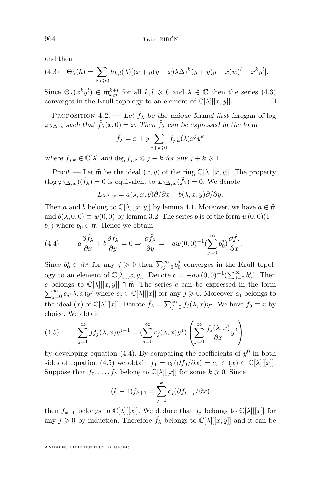and then

(4.3) 
$$
\Theta_{\lambda}(h) = \sum_{k,l \geqslant 0} h_{k,l}(\lambda) [(x+y(y-x)\lambda \Delta)^k (y+y(y-x)w)^l - x^k y^l].
$$

Since  $\Theta_{\lambda}(x^k y^l) \in \hat{\mathfrak{m}}_{x,y}^{k+l}$  for all  $k,l \geq 0$  and  $\lambda \in \mathbb{C}$  then the series (4.3) converges in the Krull topology to an element of  $\mathbb{C}[\lambda][[x, y]]$ .

PROPOSITION 4.2. — Let  $\hat{f}_{\lambda}$  be the unique formal first integral of log  $\varphi_{\lambda\Delta,w}$  *such that*  $\hat{f}_{\lambda}(x,0) = x$ . Then  $\hat{f}_{\lambda}$  *can be expressed in the form* 

$$
\hat{f}_{\lambda} = x + y \sum_{j+k \geqslant 1} f_{j,k}(\lambda) x^j y^k
$$

*where*  $f_{i,k} \in \mathbb{C}[\lambda]$  *and*  $\deg f_{i,k} \leqslant j + k$  *for any*  $j + k \geqslant 1$ *.* 

*Proof.* — Let  $\tilde{\mathfrak{m}}$  be the ideal  $(x, y)$  of the ring  $\mathbb{C}[\lambda][[x, y]]$ . The property  $(\log \varphi_{\lambda \Delta, w})(\hat{f}_{\lambda}) = 0$  is equivalent to  $L_{\lambda \Delta, w}(\hat{f}_{\lambda}) = 0$ . We denote

$$
L_{\lambda\Delta,w} = a(\lambda, x, y)\partial/\partial x + b(\lambda, x, y)\partial/\partial y.
$$

Then a and b belong to  $\mathbb{C}[\lambda][[x, y]]$  by lemma [4.1.](#page-13-0) Moreover, we have  $a \in \tilde{m}$ and  $b(\lambda, 0, 0) \equiv w(0, 0)$  by lemma [3.2.](#page-8-0) The series b is of the form  $w(0, 0)(1 – \lambda)$  $b_0$ ) where  $b_0 \in \tilde{\mathfrak{m}}$ . Hence we obtain

(4.4) 
$$
a\frac{\partial \hat{f}_{\lambda}}{\partial x} + b\frac{\partial \hat{f}_{\lambda}}{\partial y} = 0 \Rightarrow \frac{\partial \hat{f}_{\lambda}}{\partial y} = -aw(0,0)^{-1} \left(\sum_{j=0}^{\infty} b_0^j\right) \frac{\partial \hat{f}_{\lambda}}{\partial x}.
$$

Since  $b_0^j \in \tilde{\mathfrak{m}}^j$  for any  $j \geqslant 0$  then  $\sum_{j=0}^{\infty} b_0^j$  converges in the Krull topology to an element of  $\mathbb{C}[\lambda][[x,y]]$ . Denote  $c = -aw(0,0)^{-1}(\sum_{j=0}^{\infty} b_0^j)$ . Then c belongs to  $\mathbb{C}[\lambda][[x,y]] \cap \tilde{m}$ . The series c can be expressed in the form  $\sum_{j=0}^{\infty} c_j(\lambda, x) y^j$  where  $c_j \in \mathbb{C}[\lambda][[x]]$  for any  $j \geqslant 0$ . Moreover  $c_0$  belongs to the ideal  $(x)$  of  $\mathbb{C}[\lambda][[x]]$ . Denote  $\hat{f}_{\lambda} = \sum_{j=0}^{\infty} f_j(\lambda, x) y^j$ . We have  $f_0 \equiv x$  by choice. We obtain

(4.5) 
$$
\sum_{j=1}^{\infty} j f_j(\lambda, x) y^{j-1} = \left( \sum_{j=0}^{\infty} c_j(\lambda, x) y^j \right) \left( \sum_{j=0}^{\infty} \frac{f_j(\lambda, x)}{\partial x} y^j \right)
$$

by developing equation (4.4). By comparing the coefficients of  $y^0$  in both sides of equation (4.5) we obtain  $f_1 = c_0(\partial f_0/\partial x) = c_0 \in (x) \subset \mathbb{C}[\lambda][[x]]$ . Suppose that  $f_0, \ldots, f_k$  belong to  $\mathbb{C}[\lambda][[x]]$  for some  $k \geq 0$ . Since

$$
(k+1)f_{k+1} = \sum_{j=0}^{k} c_j (\partial f_{k-j} / \partial x)
$$

then  $f_{k+1}$  belongs to  $\mathbb{C}[\lambda][[x]]$ . We deduce that  $f_j$  belongs to  $\mathbb{C}[\lambda][[x]]$  for any  $j \geq 0$  by induction. Therefore  $\hat{f}_{\lambda}$  belongs to  $\mathbb{C}[\lambda][[x, y]]$  and it can be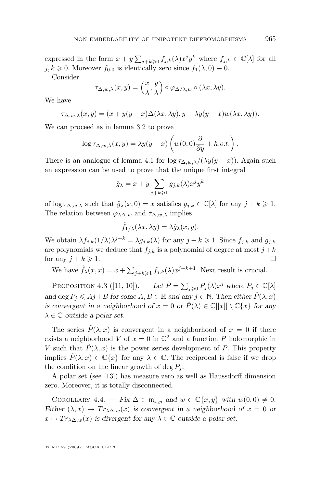<span id="page-15-0"></span>expressed in the form  $x + y \sum_{j+k \geqslant 0} f_{j,k}(\lambda) x^j y^k$  where  $f_{j,k} \in \mathbb{C}[\lambda]$  for all  $j, k \geq 0$ . Moreover  $f_{0,0}$  is identically zero since  $f_1(\lambda, 0) \equiv 0$ .

Consider

$$
\tau_{\Delta,w,\lambda}(x,y) = \left(\frac{x}{\lambda},\frac{y}{\lambda}\right) \circ \varphi_{\Delta/\lambda,w} \circ (\lambda x,\lambda y).
$$

We have

$$
\tau_{\Delta,w,\lambda}(x,y) = (x + y(y - x)\Delta(\lambda x, \lambda y), y + \lambda y(y - x)w(\lambda x, \lambda y)).
$$

We can proceed as in lemma [3.2](#page-8-0) to prove

$$
\log \tau_{\Delta,w,\lambda}(x,y) = \lambda y(y-x) \left( w(0,0) \frac{\partial}{\partial y} + h.o.t. \right).
$$

There is an analogue of lemma [4.1](#page-13-0) for  $\log \tau_{\Delta,w,\lambda}/(\lambda y(y-x))$ . Again such an expression can be used to prove that the unique first integral

$$
\hat{g}_{\lambda} = x + y \sum_{j+k \geqslant 1} g_{j,k}(\lambda) x^j y^k
$$

of  $\log \tau_{\Delta,w,\lambda}$  such that  $\hat{g}_{\lambda}(x,0) = x$  satisfies  $g_{j,k} \in \mathbb{C}[\lambda]$  for any  $j + k \geq 1$ . The relation between  $\varphi_{\lambda\Delta,w}$  and  $\tau_{\Delta,w,\lambda}$  implies

$$
\hat{f}_{1/\lambda}(\lambda x, \lambda y) = \lambda \hat{g}_{\lambda}(x, y).
$$

We obtain  $\lambda f_{j,k}(1/\lambda)\lambda^{j+k} = \lambda g_{j,k}(\lambda)$  for any  $j+k \geqslant 1$ . Since  $f_{j,k}$  and  $g_{j,k}$ are polynomials we deduce that  $f_{j,k}$  is a polynomial of degree at most  $j + k$ for any  $j + k \geqslant 1$ .

We have  $\hat{f}_{\lambda}(x,x) = x + \sum_{j+k \geqslant 1} f_{j,k}(\lambda) x^{j+k+1}$ . Next result is crucial.

PROPOSITION 4.3 ([\[11,](#page-25-0) [10\]](#page-25-0)). — Let  $\hat{P} = \sum_{j \geqslant 0} P_j(\lambda) x^j$  where  $P_j \in \mathbb{C}[\lambda]$ *and* deg  $P_j \leq A j + B$  *for some*  $A, B \in \mathbb{R}$  *and any*  $j \in \mathbb{N}$ *. Then either*  $\hat{P}(\lambda, x)$ *is convergent in a neighborhood of*  $x = 0$  *or*  $\hat{P}(\lambda) \in \mathbb{C}[[x]] \setminus \mathbb{C}\{x\}$  *for any*  $\lambda \in \mathbb{C}$  *outside a polar set.* 

The series  $\hat{P}(\lambda, x)$  is convergent in a neighborhood of  $x = 0$  if there exists a neighborhood V of  $x = 0$  in  $\mathbb{C}^2$  and a function P holomorphic in V such that  $\hat{P}(\lambda, x)$  is the power series development of P. This property implies  $\hat{P}(\lambda, x) \in \mathbb{C}\{x\}$  for any  $\lambda \in \mathbb{C}$ . The reciprocal is false if we drop the condition on the linear growth of deg  $P_i$ .

A polar set (see [\[13\]](#page-25-0)) has measure zero as well as Haussdorff dimension zero. Moreover, it is totally disconnected.

COROLLARY  $4.4.$  — *Fix*  $\Delta \in \mathfrak{m}_{x,y}$  and  $w \in \mathbb{C}\lbrace x,y \rbrace$  with  $w(0,0) \neq 0$ . *Either*  $(\lambda, x) \mapsto Tr_{\lambda} \Delta_{,w}(x)$  *is convergent in a neighborhood of*  $x = 0$  *or*  $x \mapsto Tr_{\lambda \Delta, w}(x)$  *is divergent for any*  $\lambda \in \mathbb{C}$  *outside a polar set.*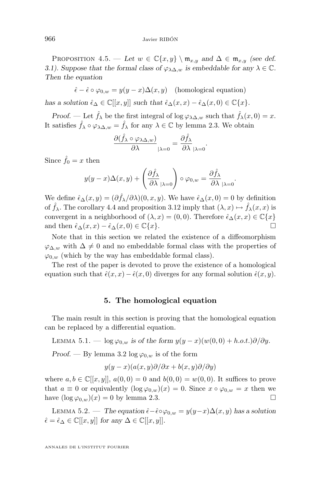<span id="page-16-0"></span>PROPOSITION 4.5. — Let  $w \in \mathbb{C}\{x, y\} \setminus \mathfrak{m}_{x,y}$  and  $\Delta \in \mathfrak{m}_{x,y}$  *(see def.*) *[3.1\)](#page-7-0).* Suppose that the formal class of  $\varphi_{\lambda\Delta,w}$  is embeddable for any  $\lambda \in \mathbb{C}$ *. Then the equation*

 $\hat{\epsilon}-\hat{\epsilon}\circ\varphi_{0,w}=y(y-x)\Delta(x,y)$  (homological equation) *has a solution*  $\hat{\epsilon}_{\Delta} \in \mathbb{C}[[x, y]]$  *such that*  $\hat{\epsilon}_{\Delta}(x, x) - \hat{\epsilon}_{\Delta}(x, 0) \in \mathbb{C}\{x\}.$ 

*Proof.* — Let  $\hat{f}_{\lambda}$  be the first integral of log  $\varphi_{\lambda\Delta,w}$  such that  $\hat{f}_{\lambda}(x,0)=x$ . It satisfies  $\hat{f}_{\lambda} \circ \varphi_{\lambda \Delta, w} = \hat{f}_{\lambda}$  for any  $\lambda \in \mathbb{C}$  by lemma [2.3.](#page-7-0) We obtain

$$
\frac{\partial(\hat{f}_{\lambda} \circ \varphi_{\lambda \Delta, w})}{\partial \lambda}|_{\lambda = 0} = \frac{\partial \hat{f}_{\lambda}}{\partial \lambda}|_{\lambda = 0}.
$$

Since  $\hat{f}_0 = x$  then

$$
y(y-x)\Delta(x,y)+\left(\frac{\partial \hat{f}_{\lambda}}{\partial \lambda}\Big|_{\lambda=0}\right)\circ\varphi_{0,w}=\frac{\partial \hat{f}_{\lambda}}{\partial \lambda}\Big|_{\lambda=0}.
$$

We define  $\hat{\epsilon}_{\Delta}(x, y) = (\partial \hat{f}_{\lambda}/\partial \lambda)(0, x, y)$ . We have  $\hat{\epsilon}_{\Delta}(x, 0) = 0$  by definition of  $\hat{f}_{\lambda}$ . The corollary [4.4](#page-15-0) and proposition [3.12](#page-12-0) imply that  $(\lambda, x) \mapsto \hat{f}_{\lambda}(x, x)$  is convergent in a neighborhood of  $(\lambda, x) = (0, 0)$ . Therefore  $\hat{\epsilon}_{\Delta}(x, x) \in \mathbb{C}\lbrace x \rbrace$ and then  $\hat{\epsilon}_{\Delta}(x, x) - \hat{\epsilon}_{\Delta}(x, 0) \in \mathbb{C}\{x\}.$ 

Note that in this section we related the existence of a diffeomorphism  $\varphi_{\Delta,w}$  with  $\Delta \neq 0$  and no embeddable formal class with the properties of  $\varphi_{0,w}$  (which by the way has embeddable formal class).

The rest of the paper is devoted to prove the existence of a homological equation such that  $\hat{\epsilon}(x, x) - \hat{\epsilon}(x, 0)$  diverges for any formal solution  $\hat{\epsilon}(x, y)$ .

#### **5. The homological equation**

The main result in this section is proving that the homological equation can be replaced by a differential equation.

LEMMA 5.1. — log  $\varphi_{0,w}$  is of the form  $y(y-x)(w(0,0) + h.o.t.)\partial/\partial y$ .

*Proof.* — By lemma [3.2](#page-8-0)  $\log \varphi_{0,w}$  is of the form

$$
y(y-x)(a(x,y)\partial/\partial x + b(x,y)\partial/\partial y)
$$

where  $a, b \in \mathbb{C}[[x, y]], a(0, 0) = 0$  and  $b(0, 0) = w(0, 0)$ . It suffices to prove that  $a \equiv 0$  or equivalently  $(\log \varphi_{0,w})(x) = 0$ . Since  $x \circ \varphi_{0,w} = x$  then we have  $(\log \varphi_{0,w})(x) = 0$  by lemma [2.3.](#page-7-0)

LEMMA 5.2. — *The equation*  $\hat{\epsilon} - \hat{\epsilon} ∘ φ<sub>0,w</sub> = y(y-x)Δ(x, y)$  *has a solution*  $\hat{\epsilon} = \hat{\epsilon}_{\Delta} \in \mathbb{C}[[x, y]]$  for any  $\Delta \in \mathbb{C}[[x, y]]$ .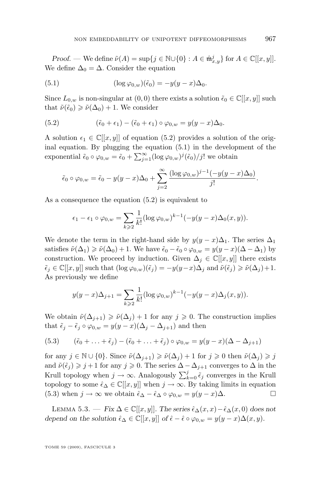<span id="page-17-0"></span>*Proof.* — We define  $\tilde{\nu}(A) = \sup\{j \in \mathbb{N} \cup \{0\} : A \in \hat{\mathfrak{m}}^j_{x,y}\}$  for  $A \in \mathbb{C}[[x, y]].$ We define  $\Delta_0 = \Delta$ . Consider the equation

(5.1) 
$$
(\log \varphi_{0,w})(\tilde{\epsilon}_0) = -y(y-x)\Delta_0.
$$

Since  $L_{0,w}$  is non-singular at  $(0,0)$  there exists a solution  $\tilde{\epsilon}_0 \in \mathbb{C}[[x,y]]$  such that  $\tilde{\nu}(\tilde{\epsilon}_0) \geq \tilde{\nu}(\Delta_0) + 1$ . We consider

(5.2) 
$$
(\tilde{\epsilon}_0 + \epsilon_1) - (\tilde{\epsilon}_0 + \epsilon_1) \circ \varphi_{0,w} = y(y - x)\Delta_0.
$$

A solution  $\epsilon_1 \in \mathbb{C}[[x, y]]$  of equation (5.2) provides a solution of the original equation. By plugging the equation (5.1) in the development of the exponential  $\tilde{\epsilon}_0 \circ \varphi_{0,w} = \tilde{\epsilon}_0 + \sum_{j=1}^{\infty} (\log \varphi_{0,w})^j (\tilde{\epsilon}_0)/j!$  we obtain

$$
\tilde{\epsilon}_0 \circ \varphi_{0,w} = \tilde{\epsilon}_0 - y(y-x)\Delta_0 + \sum_{j=2}^{\infty} \frac{(\log \varphi_{0,w})^{j-1}(-y(y-x)\Delta_0)}{j!}.
$$

As a consequence the equation (5.2) is equivalent to

$$
\epsilon_1 - \epsilon_1 \circ \varphi_{0,w} = \sum_{k \geqslant 2} \frac{1}{k!} (\log \varphi_{0,w})^{k-1} (-y(y-x) \Delta_0(x,y)).
$$

We denote the term in the right-hand side by  $y(y-x)\Delta_1$ . The series  $\Delta_1$ satisfies  $\tilde{\nu}(\Delta_1) \geq \tilde{\nu}(\Delta_0) + 1$ . We have  $\tilde{\epsilon}_0 - \tilde{\epsilon}_0 \circ \varphi_{0,w} = y(y-x)(\Delta - \Delta_1)$  by construction. We proceed by induction. Given  $\Delta_i \in \mathbb{C}[[x,y]]$  there exists  $\tilde{\epsilon}_j \in \mathbb{C}[[x,y]]$  such that  $(\log \varphi_{0,w})(\tilde{\epsilon}_j) = -y(y-x)\Delta_j$  and  $\tilde{\nu}(\tilde{\epsilon}_j) \geq \tilde{\nu}(\Delta_j)+1$ . As previously we define

$$
y(y-x)\Delta_{j+1} = \sum_{k\geqslant 2} \frac{1}{k!} (\log \varphi_{0,w})^{k-1} (-y(y-x)\Delta_j(x,y)).
$$

We obtain  $\tilde{\nu}(\Delta_{j+1}) \geq \tilde{\nu}(\Delta_j) + 1$  for any  $j \geq 0$ . The construction implies that  $\tilde{\epsilon}_j - \tilde{\epsilon}_j \circ \varphi_{0,w} = y(y-x)(\Delta_j - \Delta_{j+1})$  and then

(5.3) 
$$
(\tilde{\epsilon}_0 + \ldots + \tilde{\epsilon}_j) - (\tilde{\epsilon}_0 + \ldots + \tilde{\epsilon}_j) \circ \varphi_{0,w} = y(y-x)(\Delta - \Delta_{j+1})
$$

for any  $j \in \mathbb{N} \cup \{0\}$ . Since  $\tilde{\nu}(\Delta_{j+1}) \geq \tilde{\nu}(\Delta_j) + 1$  for  $j \geq 0$  then  $\tilde{\nu}(\Delta_j) \geq j$ and  $\tilde{\nu}(\tilde{\epsilon}_j) \geq j+1$  for any  $j \geq 0$ . The series  $\Delta - \Delta_{j+1}$  converges to  $\Delta$  in the Krull topology when  $j \to \infty$ . Analogously  $\sum_{k=0}^{j} \tilde{\epsilon}_j$  converges in the Krull topology to some  $\hat{\epsilon}_{\Delta} \in \mathbb{C}[[x, y]]$  when  $j \to \infty$ . By taking limits in equation (5.3) when  $j \to \infty$  we obtain  $\hat{\epsilon}_{\Delta} - \hat{\epsilon}_{\Delta} \circ \varphi_{0,w} = y(y-x)\Delta$ .

LEMMA 5.3. — *Fix*  $\Delta \in \mathbb{C}[[x,y]]$ *. The series*  $\hat{\epsilon}_{\Delta}(x,x) - \hat{\epsilon}_{\Delta}(x,0)$  *does not depend on the solution*  $\hat{\epsilon}_{\Delta} \in \mathbb{C}[[x, y]]$  *of*  $\hat{\epsilon} - \hat{\epsilon} \circ \varphi_{0,w} = y(y - x)\Delta(x, y)$ *.*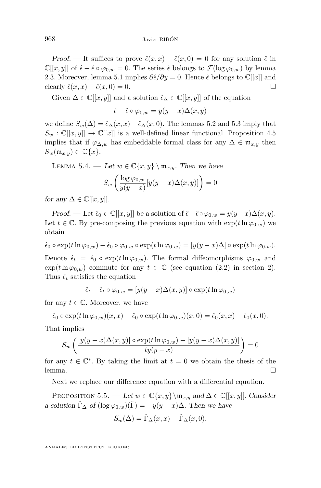<span id="page-18-0"></span>*Proof.* — It suffices to prove  $\hat{\epsilon}(x, x) - \hat{\epsilon}(x, 0) = 0$  for any solution  $\hat{\epsilon}$  in  $\mathbb{C}[[x,y]]$  of  $\hat{\epsilon} - \hat{\epsilon} \circ \varphi_{0,w} = 0$ . The series  $\hat{\epsilon}$  belongs to  $\mathcal{F}(\log \varphi_{0,w})$  by lemma [2.3.](#page-7-0) Moreover, lemma [5.1](#page-16-0) implies  $\frac{\partial \hat{\epsilon}}{\partial y} = 0$ . Hence  $\hat{\epsilon}$  belongs to  $\mathbb{C}[[x]]$  and clearly  $\hat{\epsilon}(x, x) - \hat{\epsilon}(x, 0) = 0.$ 

Given  $\Delta \in \mathbb{C}[[x, y]]$  and a solution  $\hat{\epsilon}_{\Delta} \in \mathbb{C}[[x, y]]$  of the equation

$$
\hat{\epsilon} - \hat{\epsilon} \circ \varphi_{0,w} = y(y - x) \Delta(x, y)
$$

we define  $S_w(\Delta) = \hat{\epsilon}_{\Delta}(x, x) - \hat{\epsilon}_{\Delta}(x, 0)$ . The lemmas [5.2](#page-16-0) and [5.3](#page-17-0) imply that  $S_w : \mathbb{C}[[x,y]] \to \mathbb{C}[[x]]$  is a well-defined linear functional. Proposition [4.5](#page-15-0) implies that if  $\varphi_{\Delta,w}$  has embeddable formal class for any  $\Delta \in \mathfrak{m}_{x,y}$  then  $S_w(\mathfrak{m}_{x,y}) \subset \mathbb{C}\lbrace x \rbrace.$ 

LEMMA 5.4. — Let  $w \in \mathbb{C}\{x, y\} \setminus \mathfrak{m}_{x,y}$ . Then we have

$$
S_w \left( \frac{\log \varphi_{0,w}}{y(y-x)} [y(y-x) \Delta(x,y)] \right) = 0
$$

*for any*  $\Delta \in \mathbb{C}[[x, y]]$ *.* 

*Proof.* — Let  $\hat{\epsilon}_0 \in \mathbb{C}[[x,y]]$  be a solution of  $\hat{\epsilon} - \hat{\epsilon} \circ \varphi_{0,w} = y(y-x) \Delta(x,y)$ . Let  $t \in \mathbb{C}$ . By pre-composing the previous equation with  $\exp(t \ln \varphi_{0,w})$  we obtain

$$
\hat{\epsilon}_0 \circ \exp(t \ln \varphi_{0,w}) - \hat{\epsilon}_0 \circ \varphi_{0,w} \circ \exp(t \ln \varphi_{0,w}) = [y(y-x)\Delta] \circ \exp(t \ln \varphi_{0,w}).
$$
  
Denote  $\hat{\epsilon}_t = \hat{\epsilon}_0 \circ \exp(t \ln \varphi_{0,w}).$  The formal diffeomorphisms  $\varphi_{0,w}$  and

 $\exp(t\ln\varphi_{0,w})$  commute for any  $t \in \mathbb{C}$  (see equation [\(2.2\)](#page-6-0) in section [2\)](#page-5-0). Thus  $\hat{\epsilon}_t$  satisfies the equation

$$
\hat{\epsilon}_t - \hat{\epsilon}_t \circ \varphi_{0,w} = [y(y-x) \Delta(x,y)] \circ \exp(t \ln \varphi_{0,w})
$$

for any  $t \in \mathbb{C}$ . Moreover, we have

 $\hat{\epsilon}_0 \circ \exp(t \ln \varphi_{0,w})(x,x) - \hat{\epsilon}_0 \circ \exp(t \ln \varphi_{0,w})(x,0) = \hat{\epsilon}_0(x,x) - \hat{\epsilon}_0(x,0).$ 

That implies

$$
S_w\left(\frac{[y(y-x)\Delta(x,y)]\circ\exp(t\ln\varphi_{0,w})-[y(y-x)\Delta(x,y)]}{ty(y-x)}\right)=0
$$

for any  $t \in \mathbb{C}^*$ . By taking the limit at  $t = 0$  we obtain the thesis of the lemma.

Next we replace our difference equation with a differential equation.

PROPOSITION 5.5. — *Let*  $w \in \mathbb{C}\{x, y\} \setminus \mathfrak{m}_{x,y}$  and  $\Delta \in \mathbb{C}[[x, y]]$ *. Consider a solution*  $\hat{\Gamma}_{\Delta}$  *of*  $(\log \varphi_{0,w})(\hat{\Gamma}) = -y(y-x)\Delta$ *. Then we have* 

$$
S_w(\Delta) = \hat{\Gamma}_{\Delta}(x, x) - \hat{\Gamma}_{\Delta}(x, 0).
$$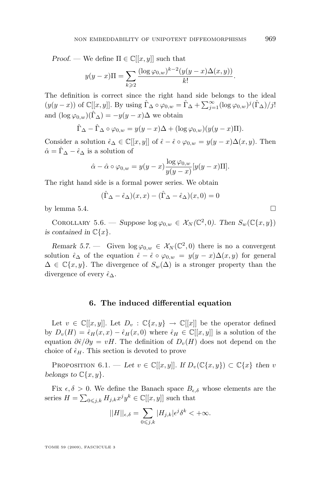<span id="page-19-0"></span>*Proof.* — We define  $\Pi \in \mathbb{C}[[x, y]]$  such that

$$
y(y - x)\Pi = \sum_{k \geqslant 2} \frac{(\log \varphi_{0,w})^{k-2} (y(y - x)\Delta(x,y))}{k!}.
$$

The definition is correct since the right hand side belongs to the ideal  $(y(y-x))$  of  $\mathbb{C}[[x,y]]$ . By using  $\hat{\Gamma}_{\Delta} \circ \varphi_{0,w} = \hat{\Gamma}_{\Delta} + \sum_{j=1}^{\infty} (\log \varphi_{0,w})^j (\hat{\Gamma}_{\Delta})/j!$ and  $(\log \varphi_{0,w})(\hat{\Gamma}_{\Delta}) = -y(y-x)\Delta$  we obtain

$$
\hat{\Gamma}_{\Delta} - \hat{\Gamma}_{\Delta} \circ \varphi_{0,w} = y(y - x)\Delta + (\log \varphi_{0,w})(y(y - x)\Pi).
$$

Consider a solution  $\hat{\epsilon}_{\Delta} \in \mathbb{C}[[x,y]]$  of  $\hat{\epsilon} - \hat{\epsilon} \circ \varphi_{0,w} = y(y-x)\Delta(x,y)$ . Then  $\hat{\alpha} = \Gamma_{\Delta} - \hat{\epsilon}_{\Delta}$  is a solution of

$$
\hat{\alpha} - \hat{\alpha} \circ \varphi_{0,w} = y(y-x) \frac{\log \varphi_{0,w}}{y(y-x)} [y(y-x) \Pi].
$$

The right hand side is a formal power series. We obtain

$$
(\hat{\Gamma}_{\Delta} - \hat{\epsilon}_{\Delta})(x, x) - (\hat{\Gamma}_{\Delta} - \hat{\epsilon}_{\Delta})(x, 0) = 0
$$

by lemma [5.4.](#page-18-0)  $\Box$ 

COROLLARY 5.6. — *Suppose*  $\log \varphi_{0,w} \in \mathcal{X}_N(\mathbb{C}^2,0)$ . Then  $S_w(\mathbb{C}\{x,y\})$ *is contained in*  $\mathbb{C}\{x\}$ .

*Remark 5.7.* — Given  $\log \varphi_{0,w} \in \mathcal{X}_N(\mathbb{C}^2,0)$  there is no a convergent solution  $\hat{\epsilon}_{\Delta}$  of the equation  $\hat{\epsilon} - \hat{\epsilon} \circ \varphi_{0,w} = y(y-x) \Delta(x,y)$  for general  $\Delta \in \mathbb{C}\{x,y\}$ . The divergence of  $S_w(\Delta)$  is a stronger property than the divergence of every  $\hat{\epsilon}_{\Delta}$ .

#### **6. The induced differential equation**

Let  $v \in \mathbb{C}[[x,y]]$ . Let  $D_v : \mathbb{C}\{x,y\} \to \mathbb{C}[[x]]$  be the operator defined by  $D_v(H) = \hat{\epsilon}_H(x, x) - \hat{\epsilon}_H(x, 0)$  where  $\hat{\epsilon}_H \in \mathbb{C}[[x, y]]$  is a solution of the equation  $\partial \hat{\epsilon}/\partial y = vH$ . The definition of  $D_v(H)$  does not depend on the choice of  $\hat{\epsilon}_H$ . This section is devoted to prove

PROPOSITION 6.1. — Let  $v \in \mathbb{C}[[x,y]]$ . If  $D_v(\mathbb{C}\{x,y\}) \subset \mathbb{C}\{x\}$  then v *belongs to*  $\mathbb{C}\{x,y\}$ *.* 

Fix  $\epsilon, \delta > 0$ . We define the Banach space  $B_{\epsilon,\delta}$  whose elements are the series  $H = \sum_{0 \leq j,k} H_{j,k} x^j y^k \in \mathbb{C}[[x,y]]$  such that

$$
||H||_{\epsilon,\delta} = \sum_{0 \leq j,k} |H_{j,k}| \epsilon^j \delta^k < +\infty.
$$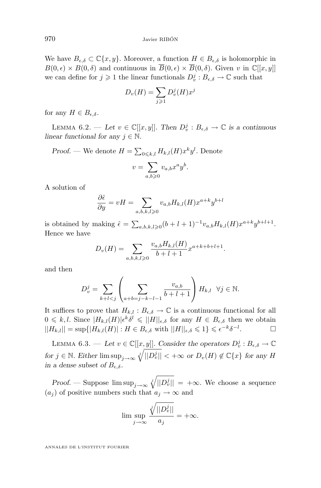<span id="page-20-0"></span>We have  $B_{\epsilon,\delta} \subset \mathbb{C}\{x,y\}$ . Moreover, a function  $H \in B_{\epsilon,\delta}$  is holomorphic in  $B(0, \epsilon) \times B(0, \delta)$  and continuous in  $\overline{B}(0, \epsilon) \times \overline{B}(0, \delta)$ . Given v in  $\mathbb{C}[[x, y]]$ we can define for  $j \geq 1$  the linear functionals  $D_v^j : B_{\epsilon,\delta} \to \mathbb{C}$  such that

$$
D_v(H) = \sum_{j \geqslant 1} D_v^j(H) x^j
$$

for any  $H \in B_{\epsilon,\delta}$ .

LEMMA 6.2. — Let  $v \in \mathbb{C}[[x,y]]$ . Then  $D_v^j : B_{\epsilon,\delta} \to \mathbb{C}$  is a continuous *linear functional for any*  $j \in \mathbb{N}$ .

*Proof.* — We denote  $H = \sum_{0 \leq k,l} H_{k,l}(H) x^k y^l$ . Denote

$$
v = \sum_{a,b \geqslant 0} v_{a,b} x^a y^b.
$$

A solution of

$$
\frac{\partial \hat{\epsilon}}{\partial y} = vH = \sum_{a,b,k,l \ge 0} v_{a,b} H_{k,l}(H) x^{a+k} y^{b+l}
$$

is obtained by making  $\hat{\epsilon} = \sum_{a,b,k,l \geqslant 0} (b+l+1)^{-1} v_{a,b} H_{k,l}(H) x^{a+k} y^{b+l+1}.$ Hence we have

$$
D_v(H) = \sum_{a,b,k,l \geqslant 0} \frac{v_{a,b}H_{k,l}(H)}{b+l+1} x^{a+k+b+l+1}.
$$

and then

$$
D_v^j = \sum_{k+l < j} \left( \sum_{a+b=j-k-l-1} \frac{v_{a,b}}{b+l+1} \right) H_{k,l} \quad \forall j \in \mathbb{N}.
$$

It suffices to prove that  $H_{k,l}: B_{\epsilon,\delta} \to \mathbb{C}$  is a continuous functional for all  $0 \leq k, l$ . Since  $|H_{k,l}(H)| \epsilon^k \delta^l \leq ||H||_{\epsilon,\delta}$  for any  $H \in B_{\epsilon,\delta}$  then we obtain  $||H_{k,l}|| = \sup{ |H_{k,l}(H)| : H \in B_{\epsilon,\delta} \text{ with } ||H||_{\epsilon,\delta} \leqslant 1 \} \leqslant \epsilon^{-k} \delta^{-l}$  $\Box$ 

LEMMA 6.3. — Let  $v \in \mathbb{C}[[x, y]]$ . Consider the operators  $D_v^j : B_{\epsilon, \delta} \to \mathbb{C}$  $f \circ f \in \mathbb{N}$ . Either  $\limsup_{j \to \infty} \sqrt[j]{||D_v^j||} < +\infty$  or  $D_v(H) \notin \mathbb{C}{x}$  for any H *in a dense subset of*  $B_{\epsilon,\delta}$ *.* 

*Proof.* — Suppose  $\limsup_{j\to\infty} \sqrt[j]{||D_v^j||} = +\infty$ . We choose a sequence  $(a_j)$  of positive numbers such that  $a_j \to \infty$  and

$$
\limsup_{j \to \infty} \frac{\sqrt[j]{||D_v^j||}}{a_j} = +\infty.
$$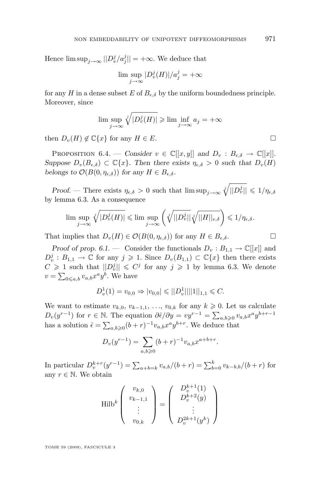Hence  $\limsup_{j\to\infty}||D_v^j/a_j^j|| = +\infty$ . We deduce that

$$
\lim \sup_{j \to \infty} |D_v^j(H)|/a_j^j = +\infty
$$

for any H in a dense subset E of  $B_{\epsilon,\delta}$  by the uniform boundedness principle. Moreover, since

$$
\limsup_{j \to \infty} \sqrt[j]{|D_v^j(H)|} \ge \liminf_{j \to \infty} a_j = +\infty
$$

then  $D_v(H) \notin \mathbb{C}\{x\}$  for any  $H \in E$ .

**PROPOSITION** 6.4. — *Consider*  $v \in \mathbb{C}[[x,y]]$  *and*  $D_v : B_{\epsilon,\delta} \to \mathbb{C}[[x]]$ *. Suppose*  $D_v(B_{\epsilon,\delta}) \subset \mathbb{C}\{x\}$ . Then there exists  $\eta_{\epsilon,\delta} > 0$  *such that*  $D_v(H)$ *belongs to*  $\mathcal{O}(B(0, \eta_{\epsilon,\delta}))$  *for any*  $H \in B_{\epsilon,\delta}$ *.* 

*Proof.* — There exists  $\eta_{\epsilon,\delta} > 0$  such that  $\limsup_{j\to\infty} \sqrt[j]{||D_v^j||} \leq 1/\eta_{\epsilon,\delta}$ by lemma [6.3.](#page-20-0) As a consequence

$$
\limsup_{j\to\infty}\sqrt[j]{|D_v^j(H)|}\leqslant \limsup_{j\to\infty}\left(\sqrt[j]{||D_v^j||}\sqrt[j]{||H||_{\epsilon,\delta}}\right)\leqslant 1/\eta_{\epsilon,\delta}.
$$

That implies that  $D_v(H) \in \mathcal{O}(B(0, \eta_{\epsilon,\delta}))$  for any  $H \in B_{\epsilon,\delta}$ .

*Proof of prop.* [6.1.](#page-19-0) — Consider the functionals  $D_v : B_{1,1} \to \mathbb{C}[[x]]$  and  $D_v^j : B_{1,1} \to \mathbb{C}$  for any  $j \geq 1$ . Since  $D_v(B_{1,1}) \subset \mathbb{C}{x}$  then there exists  $C \geq 1$  such that  $||D_v^j|| \leq C^j$  for any  $j \geq 1$  by lemma [6.3.](#page-20-0) We denote  $v = \sum_{0 \leq a,b} v_{a,b} x^a y^b$ . We have

$$
D_v^1(1) = v_{0,0} \Rightarrow |v_{0,0}| \leqslant ||D_v^1|| ||1||_{1,1} \leqslant C.
$$

We want to estimate  $v_{k,0}, v_{k-1,1}, \ldots, v_{0,k}$  for any  $k \geq 0$ . Let us calculate  $D_v(y^{r-1})$  for  $r \in \mathbb{N}$ . The equation  $\partial \hat{\epsilon}/\partial y = vy^{r-1} = \sum_{a,b\geqslant 0} v_{a,b}x^a y^{b+r-1}$ has a solution  $\hat{\epsilon} = \sum_{a,b\geqslant 0} (b+r)^{-1} v_{a,b} x^a y^{b+r}$ . We deduce that

$$
D_v(y^{r-1}) = \sum_{a,b \geqslant 0} (b+r)^{-1} v_{a,b} x^{a+b+r}.
$$

In particular  $D_v^{k+r}(y^{r-1}) = \sum_{a+b=k} v_{a,b}/(b+r) = \sum_{b=0}^k v_{k-b,b}/(b+r)$  for any  $r \in \mathbb{N}$ . We obtain

Hilb<sup>k</sup> 
$$
\begin{pmatrix} v_{k,0} \\ v_{k-1,1} \\ \vdots \\ v_{0,k} \end{pmatrix} = \begin{pmatrix} D_v^{k+1}(1) \\ D_v^{k+2}(y) \\ \vdots \\ D_v^{2k+1}(y^k) \end{pmatrix}
$$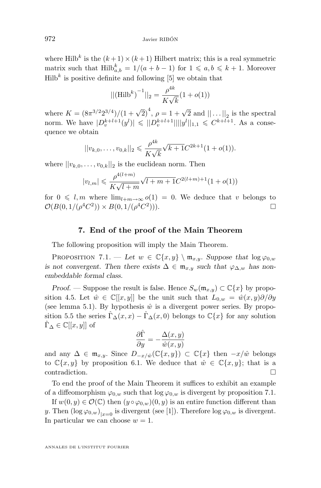where Hilb<sup>k</sup> is the  $(k+1) \times (k+1)$  Hilbert matrix; this is a real symmetric matrix such that  $\text{Hilb}_{a,b}^k = 1/(a + b - 1)$  for  $1 \leq a, b \leq k + 1$ . Moreover  $Hilb<sup>k</sup>$  is positive definite and following [\[5\]](#page-24-0) we obtain that

$$
||(\text{Hilb}^k)^{-1}||_2 = \frac{\rho^{4k}}{K\sqrt{k}}(1+o(1))
$$

where  $K = (8\pi^{3/2} 2^{3/4})/(1 + \sqrt{2})^4$ ,  $\rho = 1 + \sqrt{2}$  and  $|| \dots ||_2$  is the spectral norm. We have  $|D_v^{k+l+1}(y^l)| \leq ||D_v^{k+l+1}|| ||y^l||_{1,1} \leq C^{k+l+1}$ . As a consequence we obtain

$$
||v_{k,0},\ldots,v_{0,k}||_2 \leq \frac{\rho^{4k}}{K\sqrt{k}}\sqrt{k+1}C^{2k+1}(1+o(1)).
$$

where  $||v_{k,0}, \ldots, v_{0,k}||_2$  is the euclidean norm. Then

$$
|v_{l,m}| \leq \frac{\rho^{4(l+m)}}{K\sqrt{l+m}}\sqrt{l+m+1}C^{2(l+m)+1}(1+o(1))
$$

for  $0 \leq l, m$  where  $\lim_{l+m\to\infty} o(1) = 0$ . We deduce that v belongs to  $\mathcal{O}(B(0,1/(\rho^4 C^2)) \times B(0,1/(\rho^4 C^2))$ ))).  $\qquad \qquad \Box$ 

#### **7. End of the proof of the Main Theorem**

The following proposition will imply the Main Theorem.

PROPOSITION 7.1. — Let  $w \in \mathbb{C}\{x, y\} \setminus \mathfrak{m}_{x,y}$ . Suppose that  $\log \varphi_{0,w}$ *is not convergent. Then there exists*  $\Delta \in \mathfrak{m}_{x,y}$  *such that*  $\varphi_{\Delta,w}$  *has nonembeddable formal class.*

*Proof.* — Suppose the result is false. Hence  $S_w(\mathfrak{m}_{x,y}) \subset \mathbb{C}\{x\}$  by propo-sition [4.5.](#page-15-0) Let  $\hat{w} \in \mathbb{C}[[x,y]]$  be the unit such that  $L_{0,w} = \hat{w}(x,y)\partial/\partial y$ (see lemma [5.1\)](#page-16-0). By hypothesis  $\hat{w}$  is a divergent power series. By propo-sition [5.5](#page-18-0) the series  $\hat{\Gamma}_{\Delta}(x, x) - \hat{\Gamma}_{\Delta}(x, 0)$  belongs to  $\mathbb{C}\{x\}$  for any solution  $\Gamma_{\Delta} \in \mathbb{C}[[x,y]]$  of

$$
\frac{\partial \hat{\Gamma}}{\partial y} = -\frac{\Delta(x, y)}{\hat{w}(x, y)}
$$

and any  $\Delta \in \mathfrak{m}_{x,y}$ . Since  $D_{-x/\hat{w}}(\mathbb{C}\{x,y\}) \subset \mathbb{C}\{x\}$  then  $-x/\hat{w}$  belongs to  $\mathbb{C}\{x,y\}$  by proposition [6.1.](#page-19-0) We deduce that  $\hat{w} \in \mathbb{C}\{x,y\}$ ; that is a contradiction.

To end the proof of the Main Theorem it suffices to exhibit an example of a diffeomorphism  $\varphi_{0,w}$  such that  $\log \varphi_{0,w}$  is divergent by proposition 7.1.

If  $w(0, y) \in \mathcal{O}(\mathbb{C})$  then  $(y \circ \varphi_{0,w})(0, y)$  is an entire function different than y. Then  $(\log \varphi_{0,w})_{|x=0}$  is divergent (see [\[1\]](#page-24-0)). Therefore  $\log \varphi_{0,w}$  is divergent. In particular we can choose  $w = 1$ .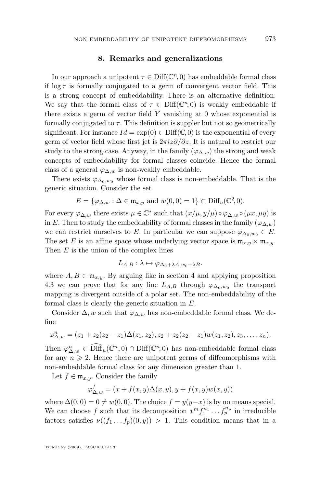#### **8. Remarks and generalizations**

In our approach a unipotent  $\tau \in \text{Diff}(\mathbb{C}^n, 0)$  has embeddable formal class if  $\log \tau$  is formally conjugated to a germ of convergent vector field. This is a strong concept of embeddability. There is an alternative definition: We say that the formal class of  $\tau \in \text{Diff}(\mathbb{C}^n,0)$  is weakly embeddable if there exists a germ of vector field  $Y$  vanishing at 0 whose exponential is formally conjugated to  $\tau$ . This definition is suppler but not so geometrically significant. For instance  $Id = \exp(0) \in \text{Diff}(\mathbb{C}, 0)$  is the exponential of every germ of vector field whose first jet is  $2\pi i z\partial/\partial z$ . It is natural to restrict our study to the strong case. Anyway, in the family  $(\varphi_{\Delta,w})$  the strong and weak concepts of embeddability for formal classes coincide. Hence the formal class of a general  $\varphi_{\Delta,w}$  is non-weakly embeddable.

There exists  $\varphi_{\Delta_0,w_0}$  whose formal class is non-embeddable. That is the generic situation. Consider the set

$$
E = \{ \varphi_{\Delta, w} : \Delta \in \mathfrak{m}_{x,y} \text{ and } w(0,0) = 1 \} \subset \text{Diff}_u(\mathbb{C}^2, 0).
$$

For every  $\varphi_{\Delta,w}$  there exists  $\mu \in \mathbb{C}^*$  such that  $(x/\mu, y/\mu) \circ \varphi_{\Delta,w} \circ (\mu x, \mu y)$  is in E. Then to study the embeddability of formal classes in the family  $(\varphi_{\Delta,w})$ we can restrict ourselves to E. In particular we can suppose  $\varphi_{\Delta_0,w_0} \in E$ . The set E is an affine space whose underlying vector space is  $\mathfrak{m}_{x,y} \times \mathfrak{m}_{x,y}$ . Then  $E$  is the union of the complex lines

$$
L_{A,B}: \lambda \mapsto \varphi_{\Delta_0 + \lambda A, w_0 + \lambda B}.
$$

where  $A, B \in \mathfrak{m}_{x,y}$ . By arguing like in section [4](#page-12-0) and applying proposition [4.3](#page-15-0) we can prove that for any line  $L_{A,B}$  through  $\varphi_{\Delta_0,w_0}$  the transport mapping is divergent outside of a polar set. The non-embeddability of the formal class is clearly the generic situation in E.

Consider  $\Delta$ , w such that  $\varphi_{\Delta,w}$  has non-embeddable formal class. We define

$$
\varphi_{\Delta,w}^n = (z_1 + z_2(z_2 - z_1)\Delta(z_1, z_2), z_2 + z_2(z_2 - z_1)w(z_1, z_2), z_3, \ldots, z_n).
$$

Then  $\varphi_{\Delta,w}^n \in \widehat{\text{Diff}}_u(\mathbb{C}^n,0) \cap \text{Diff}(\mathbb{C}^n,0)$  has non-embeddable formal class for any  $n \geqslant 2$ . Hence there are unipotent germs of diffeomorphisms with non-embeddable formal class for any dimension greater than 1.

Let  $f \in \mathfrak{m}_{x,y}$ . Consider the family

$$
\varphi_{\Delta,w}^f = (x + f(x,y)\Delta(x,y), y + f(x,y)w(x,y))
$$

where  $\Delta(0,0) = 0 \neq w(0,0)$ . The choice  $f = y(y-x)$  is by no means special. We can choose f such that its decomposition  $x^m f_1^{n_1} \dots f_p^{n_p}$  in irreducible factors satisfies  $\nu((f_1 \dots f_p)(0, y)) > 1$ . This condition means that in a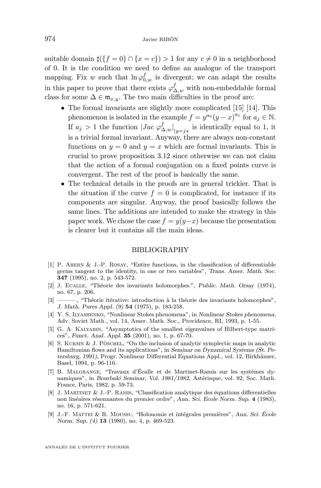<span id="page-24-0"></span>suitable domain  $\sharp({f = 0} \cap {x = c}) > 1$  for any  $c \neq 0$  in a neighborhood of 0. It is the condition we need to define an analogue of the transport mapping. Fix w such that  $\ln \varphi_{0,w}^f$  is divergent; we can adapt the results in this paper to prove that there exists  $\varphi_{\Delta,w}^f$  with non-embeddable formal class for some  $\Delta \in \mathfrak{m}_{x,y}$ . The two main difficulties in the proof are:

- The formal invariants are slightly more complicated [\[15\]](#page-25-0) [\[14\]](#page-25-0). This phenomenon is isolated in the example  $f = y^{a_0}(y - x)^{a_1}$  for  $a_j \in \mathbb{N}$ . If  $a_j > 1$  the function  $|Jac \varphi_{\Delta,w}^f|_{|y=jx}$  is identically equal to 1, it is a trivial formal invariant. Anyway, there are always non-constant functions on  $y = 0$  and  $y = x$  which are formal invariants. This is crucial to prove proposition [3.12](#page-12-0) since otherwise we can not claim that the action of a formal conjugation on a fixed points curve is convergent. The rest of the proof is basically the same.
- The technical details in the proofs are in general trickier. That is the situation if the curve  $f = 0$  is complicated, for instance if its components are singular. Anyway, the proof basically follows the same lines. The additions are intended to make the strategy in this paper work. We chose the case  $f = y(y-x)$  because the presentation is clearer but it contains all the main ideas.

#### BIBLIOGRAPHY

- [1] P. Ahern & J.-P. Rosay, "Entire functions, in the classification of differentiable germs tangent to the identity, in one or two variables", *Trans. Amer. Math. Soc.* **347** (1995), no. 2, p. 543-572.
- [2] J. Ecalle, "Théorie des invariants holomorphes.", *Public. Math. Orsay* (1974), no. 67, p. 206.
- [3] ——— , "Théorie itérative: introduction à la théorie des invariants holomorphes", *J. Math. Pures Appl. (9)* **54** (1975), p. 183-258.
- [4] Y. S. Ilyashenko, "Nonlinear Stokes phenomena", in *Nonlinear Stokes phenomena*, Adv. Soviet Math., vol. 14, Amer. Math. Soc., Providence, RI, 1993, p. 1-55.
- [5] G. A. KALYABIN, "Asymptotics of the smallest eigenvalues of Hilbert-type matrices", *Funct. Anal. Appl.* **35** (2001), no. 1, p. 67-70.
- [6] S. Kuksin & J. Pöschel, "On the inclusion of analytic symplectic maps in analytic Hamiltonian flows and its applications", in *Seminar on Dynamical Systems (St. Petersburg, 1991)*, Progr. Nonlinear Differential Equations Appl., vol. 12, Birkhäuser, Basel, 1994, p. 96-116.
- [7] B. Malgrange, "Travaux d'Écalle et de Martinet-Ramis sur les systèmes dynamiques", in *Bourbaki Seminar, Vol. 1981/1982*, Astérisque, vol. 92, Soc. Math. France, Paris, 1982, p. 59-73.
- [8] J. Martinet & J.-P. Ramis, "Classification analytique des équations differentielles non linéaires résonnantes du premier ordre", *Ann. Sci. Ecole Norm. Sup.* **4** (1983), no. 16, p. 571-621.
- [9] J.-F. Mattei & R. Moussu, "Holonomie et intégrales premières", *Ann. Sci. École Norm. Sup. (4)* **13** (1980), no. 4, p. 469-523.